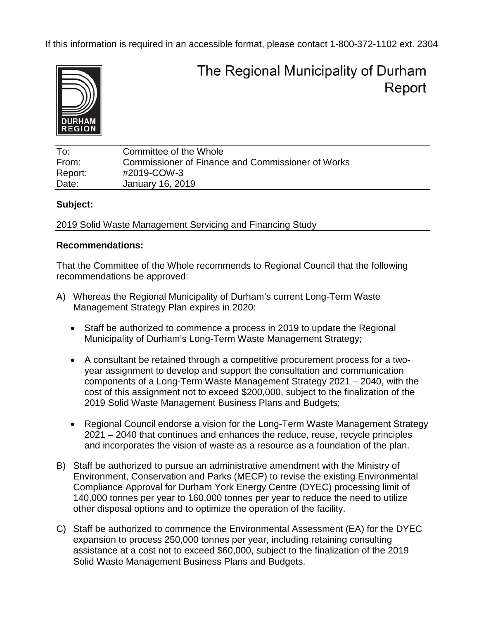If this information is required in an accessible format, please contact 1-800-372-1102 ext. 2304



# The Regional Municipality of Durham Report

To: Committee of the Whole From: Commissioner of Finance and Commissioner of Works Report: #2019-COW-3 Date: January 16, 2019

#### **Subject:**

2019 Solid Waste Management Servicing and Financing Study

## **Recommendations:**

That the Committee of the Whole recommends to Regional Council that the following recommendations be approved:

- A) Whereas the Regional Municipality of Durham's current Long-Term Waste Management Strategy Plan expires in 2020:
	- Staff be authorized to commence a process in 2019 to update the Regional Municipality of Durham's Long-Term Waste Management Strategy;
	- A consultant be retained through a competitive procurement process for a twoyear assignment to develop and support the consultation and communication components of a Long-Term Waste Management Strategy 2021 – 2040, with the cost of this assignment not to exceed \$200,000, subject to the finalization of the 2019 Solid Waste Management Business Plans and Budgets;
	- Regional Council endorse a vision for the Long-Term Waste Management Strategy 2021 – 2040 that continues and enhances the reduce, reuse, recycle principles and incorporates the vision of waste as a resource as a foundation of the plan.
- B) Staff be authorized to pursue an administrative amendment with the Ministry of Environment, Conservation and Parks (MECP) to revise the existing Environmental Compliance Approval for Durham York Energy Centre (DYEC) processing limit of 140,000 tonnes per year to 160,000 tonnes per year to reduce the need to utilize other disposal options and to optimize the operation of the facility.
- C) Staff be authorized to commence the Environmental Assessment (EA) for the DYEC expansion to process 250,000 tonnes per year, including retaining consulting assistance at a cost not to exceed \$60,000, subject to the finalization of the 2019 Solid Waste Management Business Plans and Budgets.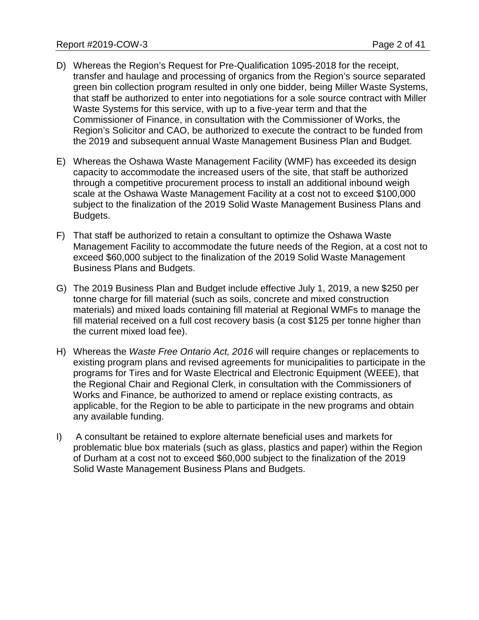- D) Whereas the Region's Request for Pre-Qualification 1095-2018 for the receipt, transfer and haulage and processing of organics from the Region's source separated green bin collection program resulted in only one bidder, being Miller Waste Systems, that staff be authorized to enter into negotiations for a sole source contract with Miller Waste Systems for this service, with up to a five-year term and that the Commissioner of Finance, in consultation with the Commissioner of Works, the Region's Solicitor and CAO, be authorized to execute the contract to be funded from the 2019 and subsequent annual Waste Management Business Plan and Budget.
- E) Whereas the Oshawa Waste Management Facility (WMF) has exceeded its design capacity to accommodate the increased users of the site, that staff be authorized through a competitive procurement process to install an additional inbound weigh scale at the Oshawa Waste Management Facility at a cost not to exceed \$100,000 subject to the finalization of the 2019 Solid Waste Management Business Plans and Budgets.
- F) That staff be authorized to retain a consultant to optimize the Oshawa Waste Management Facility to accommodate the future needs of the Region, at a cost not to exceed \$60,000 subject to the finalization of the 2019 Solid Waste Management Business Plans and Budgets.
- G) The 2019 Business Plan and Budget include effective July 1, 2019, a new \$250 per tonne charge for fill material (such as soils, concrete and mixed construction materials) and mixed loads containing fill material at Regional WMFs to manage the fill material received on a full cost recovery basis (a cost \$125 per tonne higher than the current mixed load fee).
- H) Whereas the *Waste Free Ontario Act, 2016* will require changes or replacements to existing program plans and revised agreements for municipalities to participate in the programs for Tires and for Waste Electrical and Electronic Equipment (WEEE), that the Regional Chair and Regional Clerk, in consultation with the Commissioners of Works and Finance, be authorized to amend or replace existing contracts, as applicable, for the Region to be able to participate in the new programs and obtain any available funding.
- I) A consultant be retained to explore alternate beneficial uses and markets for problematic blue box materials (such as glass, plastics and paper) within the Region of Durham at a cost not to exceed \$60,000 subject to the finalization of the 2019 Solid Waste Management Business Plans and Budgets.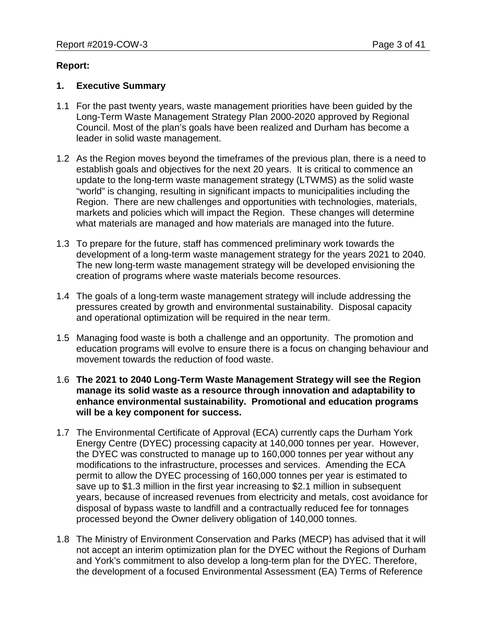#### **Report:**

#### **1. Executive Summary**

- 1.1 For the past twenty years, waste management priorities have been guided by the Long-Term Waste Management Strategy Plan 2000-2020 approved by Regional Council. Most of the plan's goals have been realized and Durham has become a leader in solid waste management.
- 1.2 As the Region moves beyond the timeframes of the previous plan, there is a need to establish goals and objectives for the next 20 years. It is critical to commence an update to the long-term waste management strategy (LTWMS) as the solid waste "world" is changing, resulting in significant impacts to municipalities including the Region. There are new challenges and opportunities with technologies, materials, markets and policies which will impact the Region. These changes will determine what materials are managed and how materials are managed into the future.
- 1.3 To prepare for the future, staff has commenced preliminary work towards the development of a long-term waste management strategy for the years 2021 to 2040. The new long-term waste management strategy will be developed envisioning the creation of programs where waste materials become resources.
- 1.4 The goals of a long-term waste management strategy will include addressing the pressures created by growth and environmental sustainability. Disposal capacity and operational optimization will be required in the near term.
- 1.5 Managing food waste is both a challenge and an opportunity. The promotion and education programs will evolve to ensure there is a focus on changing behaviour and movement towards the reduction of food waste.
- 1.6 **The 2021 to 2040 Long-Term Waste Management Strategy will see the Region manage its solid waste as a resource through innovation and adaptability to enhance environmental sustainability. Promotional and education programs will be a key component for success.**
- 1.7 The Environmental Certificate of Approval (ECA) currently caps the Durham York Energy Centre (DYEC) processing capacity at 140,000 tonnes per year. However, the DYEC was constructed to manage up to 160,000 tonnes per year without any modifications to the infrastructure, processes and services. Amending the ECA permit to allow the DYEC processing of 160,000 tonnes per year is estimated to save up to \$1.3 million in the first year increasing to \$2.1 million in subsequent years, because of increased revenues from electricity and metals, cost avoidance for disposal of bypass waste to landfill and a contractually reduced fee for tonnages processed beyond the Owner delivery obligation of 140,000 tonnes.
- 1.8 The Ministry of Environment Conservation and Parks (MECP) has advised that it will not accept an interim optimization plan for the DYEC without the Regions of Durham and York's commitment to also develop a long-term plan for the DYEC. Therefore, the development of a focused Environmental Assessment (EA) Terms of Reference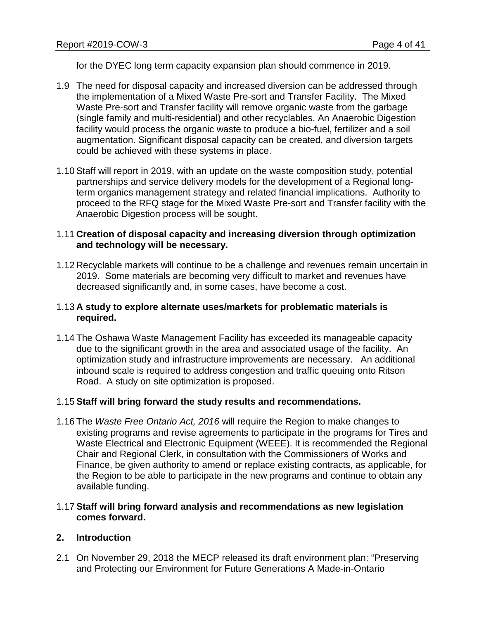for the DYEC long term capacity expansion plan should commence in 2019.

- 1.9 The need for disposal capacity and increased diversion can be addressed through the implementation of a Mixed Waste Pre-sort and Transfer Facility. The Mixed Waste Pre-sort and Transfer facility will remove organic waste from the garbage (single family and multi-residential) and other recyclables. An Anaerobic Digestion facility would process the organic waste to produce a bio-fuel, fertilizer and a soil augmentation. Significant disposal capacity can be created, and diversion targets could be achieved with these systems in place.
- 1.10 Staff will report in 2019, with an update on the waste composition study, potential partnerships and service delivery models for the development of a Regional longterm organics management strategy and related financial implications. Authority to proceed to the RFQ stage for the Mixed Waste Pre-sort and Transfer facility with the Anaerobic Digestion process will be sought.

## 1.11 **Creation of disposal capacity and increasing diversion through optimization and technology will be necessary.**

1.12 Recyclable markets will continue to be a challenge and revenues remain uncertain in 2019. Some materials are becoming very difficult to market and revenues have decreased significantly and, in some cases, have become a cost.

## 1.13 **A study to explore alternate uses/markets for problematic materials is required.**

1.14 The Oshawa Waste Management Facility has exceeded its manageable capacity due to the significant growth in the area and associated usage of the facility. An optimization study and infrastructure improvements are necessary. An additional inbound scale is required to address congestion and traffic queuing onto Ritson Road. A study on site optimization is proposed.

## 1.15 **Staff will bring forward the study results and recommendations.**

1.16 The *Waste Free Ontario Act, 2016* will require the Region to make changes to existing programs and revise agreements to participate in the programs for Tires and Waste Electrical and Electronic Equipment (WEEE). It is recommended the Regional Chair and Regional Clerk, in consultation with the Commissioners of Works and Finance, be given authority to amend or replace existing contracts, as applicable, for the Region to be able to participate in the new programs and continue to obtain any available funding.

#### 1.17 **Staff will bring forward analysis and recommendations as new legislation comes forward.**

## **2. Introduction**

2.1 On November 29, 2018 the MECP released its draft environment plan: "Preserving and Protecting our Environment for Future Generations A Made-in-Ontario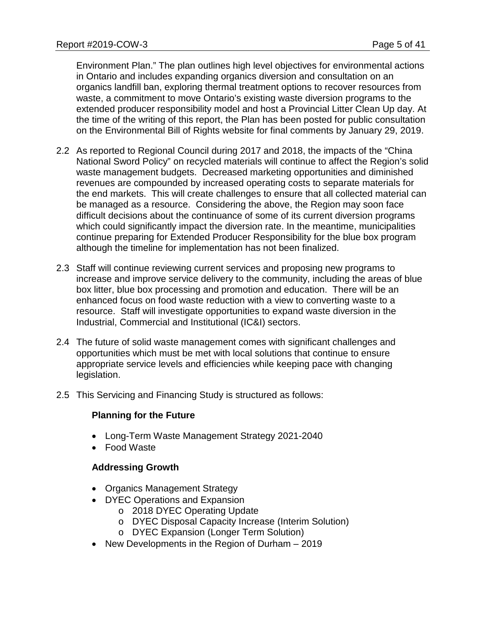Environment Plan." The plan outlines high level objectives for environmental actions in Ontario and includes expanding organics diversion and consultation on an organics landfill ban, exploring thermal treatment options to recover resources from waste, a commitment to move Ontario's existing waste diversion programs to the extended producer responsibility model and host a Provincial Litter Clean Up day. At the time of the writing of this report, the Plan has been posted for public consultation on the Environmental Bill of Rights website for final comments by January 29, 2019.

- 2.2 As reported to Regional Council during 2017 and 2018, the impacts of the "China National Sword Policy" on recycled materials will continue to affect the Region's solid waste management budgets. Decreased marketing opportunities and diminished revenues are compounded by increased operating costs to separate materials for the end markets. This will create challenges to ensure that all collected material can be managed as a resource. Considering the above, the Region may soon face difficult decisions about the continuance of some of its current diversion programs which could significantly impact the diversion rate. In the meantime, municipalities continue preparing for Extended Producer Responsibility for the blue box program although the timeline for implementation has not been finalized.
- 2.3 Staff will continue reviewing current services and proposing new programs to increase and improve service delivery to the community, including the areas of blue box litter, blue box processing and promotion and education. There will be an enhanced focus on food waste reduction with a view to converting waste to a resource. Staff will investigate opportunities to expand waste diversion in the Industrial, Commercial and Institutional (IC&I) sectors.
- 2.4 The future of solid waste management comes with significant challenges and opportunities which must be met with local solutions that continue to ensure appropriate service levels and efficiencies while keeping pace with changing legislation.
- 2.5 This Servicing and Financing Study is structured as follows:

## **Planning for the Future**

- Long-Term Waste Management Strategy 2021-2040
- Food Waste

## **Addressing Growth**

- Organics Management Strategy
- DYEC Operations and Expansion
	- o 2018 DYEC Operating Update
	- o DYEC Disposal Capacity Increase (Interim Solution)
	- o DYEC Expansion (Longer Term Solution)
- New Developments in the Region of Durham 2019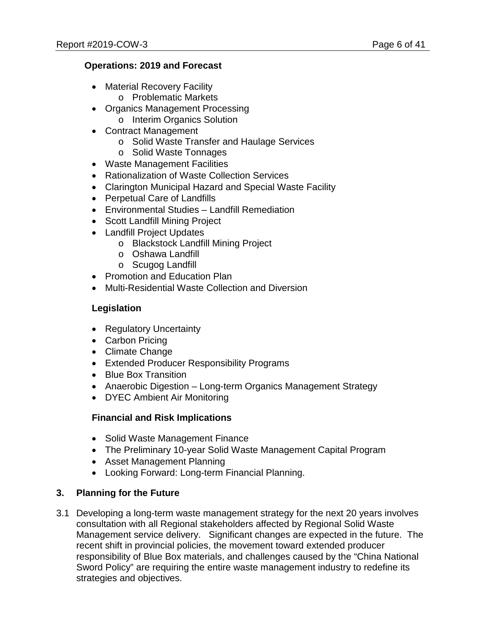# **Operations: 2019 and Forecast**

- Material Recovery Facility
	- o Problematic Markets
- Organics Management Processing
	- o Interim Organics Solution
- Contract Management
	- o Solid Waste Transfer and Haulage Services
	- o Solid Waste Tonnages
- Waste Management Facilities
- Rationalization of Waste Collection Services
- Clarington Municipal Hazard and Special Waste Facility
- Perpetual Care of Landfills
- Environmental Studies Landfill Remediation
- Scott Landfill Mining Project
- Landfill Project Updates
	- o Blackstock Landfill Mining Project
	- o Oshawa Landfill
	- o Scugog Landfill
- Promotion and Education Plan
- Multi-Residential Waste Collection and Diversion

## **Legislation**

- Regulatory Uncertainty
- Carbon Pricing
- Climate Change
- Extended Producer Responsibility Programs
- Blue Box Transition
- Anaerobic Digestion Long-term Organics Management Strategy
- DYEC Ambient Air Monitoring

## **Financial and Risk Implications**

- Solid Waste Management Finance
- The Preliminary 10-year Solid Waste Management Capital Program
- Asset Management Planning
- Looking Forward: Long-term Financial Planning.

# **3. Planning for the Future**

3.1 Developing a long-term waste management strategy for the next 20 years involves consultation with all Regional stakeholders affected by Regional Solid Waste Management service delivery. Significant changes are expected in the future. The recent shift in provincial policies, the movement toward extended producer responsibility of Blue Box materials, and challenges caused by the "China National Sword Policy" are requiring the entire waste management industry to redefine its strategies and objectives.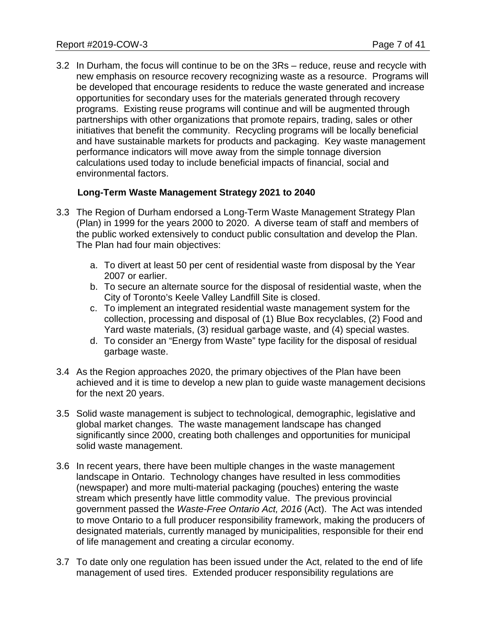3.2 In Durham, the focus will continue to be on the 3Rs – reduce, reuse and recycle with new emphasis on resource recovery recognizing waste as a resource. Programs will be developed that encourage residents to reduce the waste generated and increase opportunities for secondary uses for the materials generated through recovery programs. Existing reuse programs will continue and will be augmented through partnerships with other organizations that promote repairs, trading, sales or other initiatives that benefit the community. Recycling programs will be locally beneficial and have sustainable markets for products and packaging. Key waste management performance indicators will move away from the simple tonnage diversion calculations used today to include beneficial impacts of financial, social and environmental factors.

## **Long-Term Waste Management Strategy 2021 to 2040**

- 3.3 The Region of Durham endorsed a Long-Term Waste Management Strategy Plan (Plan) in 1999 for the years 2000 to 2020. A diverse team of staff and members of the public worked extensively to conduct public consultation and develop the Plan. The Plan had four main objectives:
	- a. To divert at least 50 per cent of residential waste from disposal by the Year 2007 or earlier.
	- b. To secure an alternate source for the disposal of residential waste, when the City of Toronto's Keele Valley Landfill Site is closed.
	- c. To implement an integrated residential waste management system for the collection, processing and disposal of (1) Blue Box recyclables, (2) Food and Yard waste materials, (3) residual garbage waste, and (4) special wastes.
	- d. To consider an "Energy from Waste" type facility for the disposal of residual garbage waste.
- 3.4 As the Region approaches 2020, the primary objectives of the Plan have been achieved and it is time to develop a new plan to guide waste management decisions for the next 20 years.
- 3.5 Solid waste management is subject to technological, demographic, legislative and global market changes. The waste management landscape has changed significantly since 2000, creating both challenges and opportunities for municipal solid waste management.
- 3.6 In recent years, there have been multiple changes in the waste management landscape in Ontario. Technology changes have resulted in less commodities (newspaper) and more multi-material packaging (pouches) entering the waste stream which presently have little commodity value. The previous provincial government passed the *Waste-Free Ontario Act, 2016* (Act). The Act was intended to move Ontario to a full producer responsibility framework, making the producers of designated materials, currently managed by municipalities, responsible for their end of life management and creating a circular economy.
- 3.7 To date only one regulation has been issued under the Act, related to the end of life management of used tires. Extended producer responsibility regulations are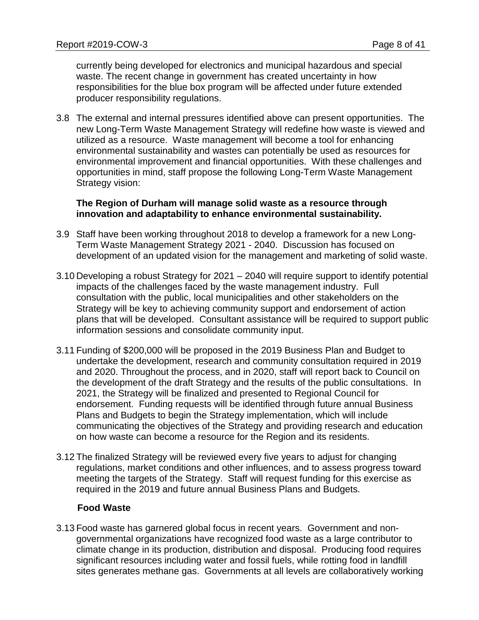currently being developed for electronics and municipal hazardous and special waste. The recent change in government has created uncertainty in how responsibilities for the blue box program will be affected under future extended producer responsibility regulations.

3.8 The external and internal pressures identified above can present opportunities. The new Long-Term Waste Management Strategy will redefine how waste is viewed and utilized as a resource. Waste management will become a tool for enhancing environmental sustainability and wastes can potentially be used as resources for environmental improvement and financial opportunities. With these challenges and opportunities in mind, staff propose the following Long-Term Waste Management Strategy vision:

#### **The Region of Durham will manage solid waste as a resource through innovation and adaptability to enhance environmental sustainability.**

- 3.9 Staff have been working throughout 2018 to develop a framework for a new Long-Term Waste Management Strategy 2021 - 2040. Discussion has focused on development of an updated vision for the management and marketing of solid waste.
- 3.10 Developing a robust Strategy for 2021 2040 will require support to identify potential impacts of the challenges faced by the waste management industry. Full consultation with the public, local municipalities and other stakeholders on the Strategy will be key to achieving community support and endorsement of action plans that will be developed. Consultant assistance will be required to support public information sessions and consolidate community input.
- 3.11 Funding of \$200,000 will be proposed in the 2019 Business Plan and Budget to undertake the development, research and community consultation required in 2019 and 2020. Throughout the process, and in 2020, staff will report back to Council on the development of the draft Strategy and the results of the public consultations. In 2021, the Strategy will be finalized and presented to Regional Council for endorsement. Funding requests will be identified through future annual Business Plans and Budgets to begin the Strategy implementation, which will include communicating the objectives of the Strategy and providing research and education on how waste can become a resource for the Region and its residents.
- 3.12 The finalized Strategy will be reviewed every five years to adjust for changing regulations, market conditions and other influences, and to assess progress toward meeting the targets of the Strategy. Staff will request funding for this exercise as required in the 2019 and future annual Business Plans and Budgets.

## **Food Waste**

3.13 Food waste has garnered global focus in recent years. Government and nongovernmental organizations have recognized food waste as a large contributor to climate change in its production, distribution and disposal. Producing food requires significant resources including water and fossil fuels, while rotting food in landfill sites generates methane gas. Governments at all levels are collaboratively working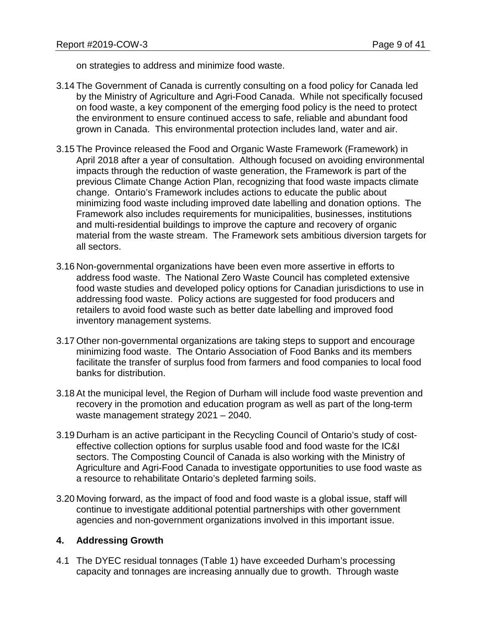on strategies to address and minimize food waste.

- 3.14 The Government of Canada is currently consulting on a food policy for Canada led by the Ministry of Agriculture and Agri-Food Canada. While not specifically focused on food waste, a key component of the emerging food policy is the need to protect the environment to ensure continued access to safe, reliable and abundant food grown in Canada. This environmental protection includes land, water and air.
- 3.15 The Province released the Food and Organic Waste Framework (Framework) in April 2018 after a year of consultation. Although focused on avoiding environmental impacts through the reduction of waste generation, the Framework is part of the previous Climate Change Action Plan, recognizing that food waste impacts climate change. Ontario's Framework includes actions to educate the public about minimizing food waste including improved date labelling and donation options. The Framework also includes requirements for municipalities, businesses, institutions and multi-residential buildings to improve the capture and recovery of organic material from the waste stream. The Framework sets ambitious diversion targets for all sectors.
- 3.16 Non-governmental organizations have been even more assertive in efforts to address food waste. The National Zero Waste Council has completed extensive food waste studies and developed policy options for Canadian jurisdictions to use in addressing food waste. Policy actions are suggested for food producers and retailers to avoid food waste such as better date labelling and improved food inventory management systems.
- 3.17 Other non-governmental organizations are taking steps to support and encourage minimizing food waste. The Ontario Association of Food Banks and its members facilitate the transfer of surplus food from farmers and food companies to local food banks for distribution.
- 3.18 At the municipal level, the Region of Durham will include food waste prevention and recovery in the promotion and education program as well as part of the long-term waste management strategy 2021 – 2040.
- 3.19 Durham is an active participant in the Recycling Council of Ontario's study of costeffective collection options for surplus usable food and food waste for the IC&I sectors. The Composting Council of Canada is also working with the Ministry of Agriculture and Agri-Food Canada to investigate opportunities to use food waste as a resource to rehabilitate Ontario's depleted farming soils.
- 3.20 Moving forward, as the impact of food and food waste is a global issue, staff will continue to investigate additional potential partnerships with other government agencies and non-government organizations involved in this important issue.

## **4. Addressing Growth**

4.1 The DYEC residual tonnages (Table 1) have exceeded Durham's processing capacity and tonnages are increasing annually due to growth. Through waste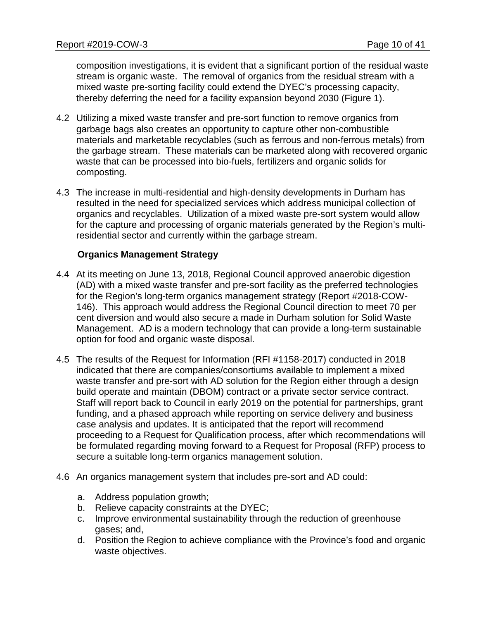composition investigations, it is evident that a significant portion of the residual waste stream is organic waste. The removal of organics from the residual stream with a mixed waste pre-sorting facility could extend the DYEC's processing capacity, thereby deferring the need for a facility expansion beyond 2030 (Figure 1).

- 4.2 Utilizing a mixed waste transfer and pre-sort function to remove organics from garbage bags also creates an opportunity to capture other non-combustible materials and marketable recyclables (such as ferrous and non-ferrous metals) from the garbage stream. These materials can be marketed along with recovered organic waste that can be processed into bio-fuels, fertilizers and organic solids for composting.
- 4.3 The increase in multi-residential and high-density developments in Durham has resulted in the need for specialized services which address municipal collection of organics and recyclables. Utilization of a mixed waste pre-sort system would allow for the capture and processing of organic materials generated by the Region's multiresidential sector and currently within the garbage stream.

## **Organics Management Strategy**

- 4.4 At its meeting on June 13, 2018, Regional Council approved anaerobic digestion (AD) with a mixed waste transfer and pre-sort facility as the preferred technologies for the Region's long-term organics management strategy (Report #2018-COW-146). This approach would address the Regional Council direction to meet 70 per cent diversion and would also secure a made in Durham solution for Solid Waste Management. AD is a modern technology that can provide a long-term sustainable option for food and organic waste disposal.
- 4.5 The results of the Request for Information (RFI #1158-2017) conducted in 2018 indicated that there are companies/consortiums available to implement a mixed waste transfer and pre-sort with AD solution for the Region either through a design build operate and maintain (DBOM) contract or a private sector service contract. Staff will report back to Council in early 2019 on the potential for partnerships, grant funding, and a phased approach while reporting on service delivery and business case analysis and updates. It is anticipated that the report will recommend proceeding to a Request for Qualification process, after which recommendations will be formulated regarding moving forward to a Request for Proposal (RFP) process to secure a suitable long-term organics management solution.
- 4.6 An organics management system that includes pre-sort and AD could:
	- a. Address population growth;
	- b. Relieve capacity constraints at the DYEC;
	- c. Improve environmental sustainability through the reduction of greenhouse gases; and,
	- d. Position the Region to achieve compliance with the Province's food and organic waste objectives.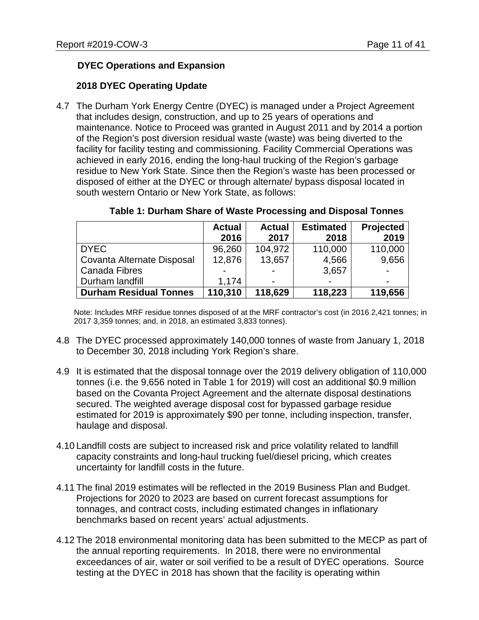# **DYEC Operations and Expansion**

## **2018 DYEC Operating Update**

4.7 The Durham York Energy Centre (DYEC) is managed under a Project Agreement that includes design, construction, and up to 25 years of operations and maintenance. Notice to Proceed was granted in August 2011 and by 2014 a portion of the Region's post diversion residual waste (waste) was being diverted to the facility for facility testing and commissioning. Facility Commercial Operations was achieved in early 2016, ending the long-haul trucking of the Region's garbage residue to New York State. Since then the Region's waste has been processed or disposed of either at the DYEC or through alternate/ bypass disposal located in south western Ontario or New York State, as follows:

|                               | <b>Actual</b> | <b>Actual</b> | <b>Estimated</b> | Projected      |
|-------------------------------|---------------|---------------|------------------|----------------|
|                               | 2016          | 2017          | 2018             | 2019           |
| <b>DYEC</b>                   | 96,260        | 104,972       | 110,000          | 110,000        |
| Covanta Alternate Disposal    | 12,876        | 13,657        | 4,566            | 9,656          |
| Canada Fibres                 |               | -             | 3,657            |                |
| Durham landfill               | 1.174         | -             |                  | $\blacksquare$ |
| <b>Durham Residual Tonnes</b> | 110,310       | 118,629       | 118,223          | 119,656        |

#### **Table 1: Durham Share of Waste Processing and Disposal Tonnes**

Note: Includes MRF residue tonnes disposed of at the MRF contractor's cost (in 2016 2,421 tonnes; in 2017 3,359 tonnes; and, in 2018, an estimated 3,833 tonnes).

- 4.8 The DYEC processed approximately 140,000 tonnes of waste from January 1, 2018 to December 30, 2018 including York Region's share.
- 4.9 It is estimated that the disposal tonnage over the 2019 delivery obligation of 110,000 tonnes (i.e. the 9,656 noted in Table 1 for 2019) will cost an additional \$0.9 million based on the Covanta Project Agreement and the alternate disposal destinations secured. The weighted average disposal cost for bypassed garbage residue estimated for 2019 is approximately \$90 per tonne, including inspection, transfer, haulage and disposal.
- 4.10 Landfill costs are subject to increased risk and price volatility related to landfill capacity constraints and long-haul trucking fuel/diesel pricing, which creates uncertainty for landfill costs in the future.
- 4.11 The final 2019 estimates will be reflected in the 2019 Business Plan and Budget. Projections for 2020 to 2023 are based on current forecast assumptions for tonnages, and contract costs, including estimated changes in inflationary benchmarks based on recent years' actual adjustments.
- 4.12 The 2018 environmental monitoring data has been submitted to the MECP as part of the annual reporting requirements. In 2018, there were no environmental exceedances of air, water or soil verified to be a result of DYEC operations. Source testing at the DYEC in 2018 has shown that the facility is operating within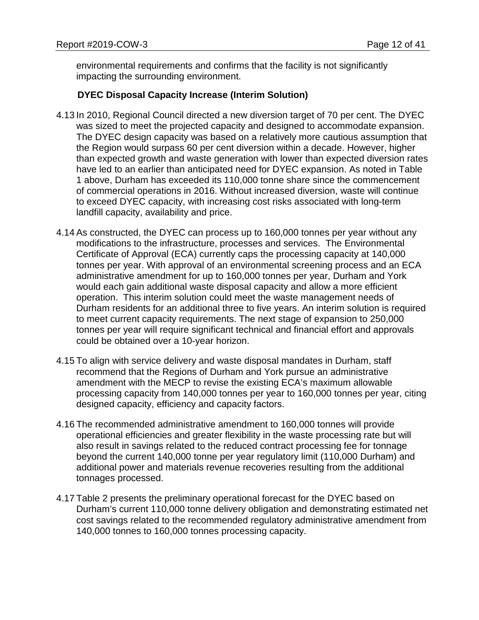environmental requirements and confirms that the facility is not significantly impacting the surrounding environment.

## **DYEC Disposal Capacity Increase (Interim Solution)**

- 4.13 In 2010, Regional Council directed a new diversion target of 70 per cent. The DYEC was sized to meet the projected capacity and designed to accommodate expansion. The DYEC design capacity was based on a relatively more cautious assumption that the Region would surpass 60 per cent diversion within a decade. However, higher than expected growth and waste generation with lower than expected diversion rates have led to an earlier than anticipated need for DYEC expansion. As noted in Table 1 above, Durham has exceeded its 110,000 tonne share since the commencement of commercial operations in 2016. Without increased diversion, waste will continue to exceed DYEC capacity, with increasing cost risks associated with long-term landfill capacity, availability and price.
- 4.14 As constructed, the DYEC can process up to 160,000 tonnes per year without any modifications to the infrastructure, processes and services. The Environmental Certificate of Approval (ECA) currently caps the processing capacity at 140,000 tonnes per year. With approval of an environmental screening process and an ECA administrative amendment for up to 160,000 tonnes per year, Durham and York would each gain additional waste disposal capacity and allow a more efficient operation. This interim solution could meet the waste management needs of Durham residents for an additional three to five years. An interim solution is required to meet current capacity requirements. The next stage of expansion to 250,000 tonnes per year will require significant technical and financial effort and approvals could be obtained over a 10-year horizon.
- 4.15 To align with service delivery and waste disposal mandates in Durham, staff recommend that the Regions of Durham and York pursue an administrative amendment with the MECP to revise the existing ECA's maximum allowable processing capacity from 140,000 tonnes per year to 160,000 tonnes per year, citing designed capacity, efficiency and capacity factors.
- 4.16 The recommended administrative amendment to 160,000 tonnes will provide operational efficiencies and greater flexibility in the waste processing rate but will also result in savings related to the reduced contract processing fee for tonnage beyond the current 140,000 tonne per year regulatory limit (110,000 Durham) and additional power and materials revenue recoveries resulting from the additional tonnages processed.
- 4.17 Table 2 presents the preliminary operational forecast for the DYEC based on Durham's current 110,000 tonne delivery obligation and demonstrating estimated net cost savings related to the recommended regulatory administrative amendment from 140,000 tonnes to 160,000 tonnes processing capacity.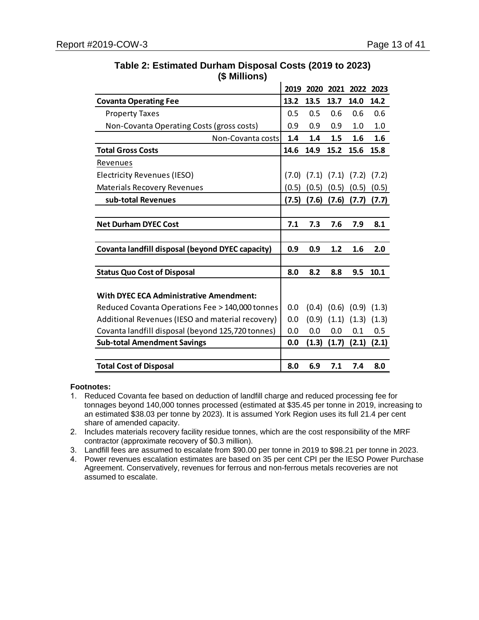|                                                   | 2019  | 2020  |                         | 2021 2022 2023                  |         |
|---------------------------------------------------|-------|-------|-------------------------|---------------------------------|---------|
| <b>Covanta Operating Fee</b>                      | 13.2  | 13.5  | 13.7                    | 14.0                            | 14.2    |
| <b>Property Taxes</b>                             | 0.5   | 0.5   | 0.6                     | 0.6                             | 0.6     |
| Non-Covanta Operating Costs (gross costs)         | 0.9   | 0.9   | 0.9                     | 1.0                             | 1.0     |
| Non-Covanta costs                                 | 1.4   | 1.4   | 1.5                     | 1.6                             | 1.6     |
| <b>Total Gross Costs</b>                          | 14.6  | 14.9  | 15.2                    | 15.6                            | 15.8    |
| Revenues                                          |       |       |                         |                                 |         |
| Electricity Revenues (IESO)                       | (7.0) |       | $(7.1)$ $(7.1)$ $(7.2)$ |                                 | (7.2)   |
| <b>Materials Recovery Revenues</b>                | (0.5) | (0.5) | (0.5)                   | (0.5)                           | (0.5)   |
| sub-total Revenues                                | (7.5) | (7.6) | (7.6)                   | (7.7)                           | (7.7)   |
|                                                   |       |       |                         |                                 |         |
| <b>Net Durham DYEC Cost</b>                       | 7.1   | 7.3   | 7.6                     | 7.9                             | 8.1     |
|                                                   |       |       |                         |                                 |         |
| Covanta landfill disposal (beyond DYEC capacity)  | 0.9   | 0.9   | 1.2                     | 1.6                             | 2.0     |
|                                                   |       |       |                         |                                 |         |
| <b>Status Quo Cost of Disposal</b>                | 8.0   | 8.2   | 8.8                     | 9.5                             | 10.1    |
|                                                   |       |       |                         |                                 |         |
| <b>With DYEC ECA Administrative Amendment:</b>    |       |       |                         |                                 |         |
| Reduced Covanta Operations Fee > 140,000 tonnes   | 0.0   |       |                         | $(0.4)$ $(0.6)$ $(0.9)$ $(1.3)$ |         |
| Additional Revenues (IESO and material recovery)  | 0.0   | (0.9) | (1.1)                   | (1.3)                           | (1.3)   |
| Covanta landfill disposal (beyond 125,720 tonnes) | 0.0   | 0.0   | 0.0                     | 0.1                             | $0.5\,$ |
| <b>Sub-total Amendment Savings</b>                | 0.0   | (1.3) | (1.7)                   | (2.1)                           | (2.1)   |
|                                                   |       |       |                         |                                 |         |
| <b>Total Cost of Disposal</b>                     | 8.0   | 6.9   | 7.1                     | 7.4                             | 8.0     |

# **Table 2: Estimated Durham Disposal Costs (2019 to 2023) (\$ Millions)**

#### **Footnotes:**

- 1. Reduced Covanta fee based on deduction of landfill charge and reduced processing fee for tonnages beyond 140,000 tonnes processed (estimated at \$35.45 per tonne in 2019, increasing to an estimated \$38.03 per tonne by 2023). It is assumed York Region uses its full 21.4 per cent share of amended capacity.
- 2. Includes materials recovery facility residue tonnes, which are the cost responsibility of the MRF contractor (approximate recovery of \$0.3 million).
- 3. Landfill fees are assumed to escalate from \$90.00 per tonne in 2019 to \$98.21 per tonne in 2023.
- 4. Power revenues escalation estimates are based on 35 per cent CPI per the IESO Power Purchase Agreement. Conservatively, revenues for ferrous and non-ferrous metals recoveries are not assumed to escalate.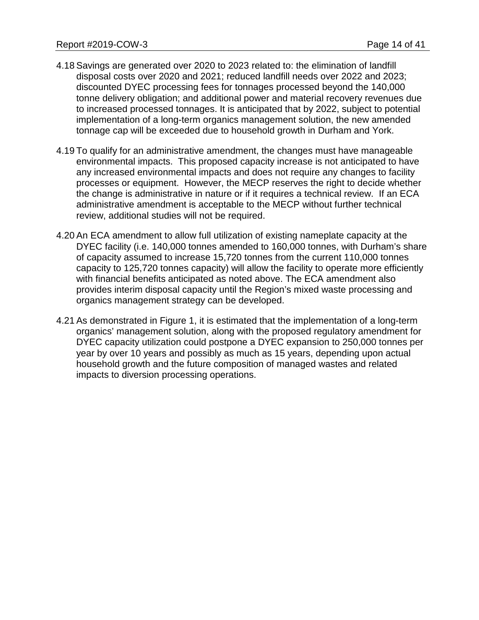- 4.18 Savings are generated over 2020 to 2023 related to: the elimination of landfill disposal costs over 2020 and 2021; reduced landfill needs over 2022 and 2023; discounted DYEC processing fees for tonnages processed beyond the 140,000 tonne delivery obligation; and additional power and material recovery revenues due to increased processed tonnages. It is anticipated that by 2022, subject to potential implementation of a long-term organics management solution, the new amended tonnage cap will be exceeded due to household growth in Durham and York.
- 4.19 To qualify for an administrative amendment, the changes must have manageable environmental impacts. This proposed capacity increase is not anticipated to have any increased environmental impacts and does not require any changes to facility processes or equipment. However, the MECP reserves the right to decide whether the change is administrative in nature or if it requires a technical review. If an ECA administrative amendment is acceptable to the MECP without further technical review, additional studies will not be required.
- 4.20 An ECA amendment to allow full utilization of existing nameplate capacity at the DYEC facility (i.e. 140,000 tonnes amended to 160,000 tonnes, with Durham's share of capacity assumed to increase 15,720 tonnes from the current 110,000 tonnes capacity to 125,720 tonnes capacity) will allow the facility to operate more efficiently with financial benefits anticipated as noted above. The ECA amendment also provides interim disposal capacity until the Region's mixed waste processing and organics management strategy can be developed.
- 4.21 As demonstrated in Figure 1, it is estimated that the implementation of a long-term organics' management solution, along with the proposed regulatory amendment for DYEC capacity utilization could postpone a DYEC expansion to 250,000 tonnes per year by over 10 years and possibly as much as 15 years, depending upon actual household growth and the future composition of managed wastes and related impacts to diversion processing operations.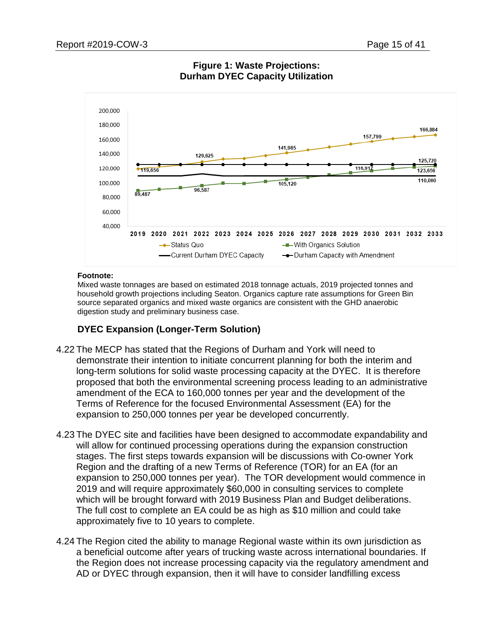

# **Figure 1: Waste Projections: Durham DYEC Capacity Utilization**

#### **Footnote:**

Mixed waste tonnages are based on estimated 2018 tonnage actuals, 2019 projected tonnes and household growth projections including Seaton. Organics capture rate assumptions for Green Bin source separated organics and mixed waste organics are consistent with the GHD anaerobic digestion study and preliminary business case.

# **DYEC Expansion (Longer-Term Solution)**

- 4.22 The MECP has stated that the Regions of Durham and York will need to demonstrate their intention to initiate concurrent planning for both the interim and long-term solutions for solid waste processing capacity at the DYEC. It is therefore proposed that both the environmental screening process leading to an administrative amendment of the ECA to 160,000 tonnes per year and the development of the Terms of Reference for the focused Environmental Assessment (EA) for the expansion to 250,000 tonnes per year be developed concurrently.
- 4.23 The DYEC site and facilities have been designed to accommodate expandability and will allow for continued processing operations during the expansion construction stages. The first steps towards expansion will be discussions with Co-owner York Region and the drafting of a new Terms of Reference (TOR) for an EA (for an expansion to 250,000 tonnes per year). The TOR development would commence in 2019 and will require approximately \$60,000 in consulting services to complete which will be brought forward with 2019 Business Plan and Budget deliberations. The full cost to complete an EA could be as high as \$10 million and could take approximately five to 10 years to complete.
- 4.24 The Region cited the ability to manage Regional waste within its own jurisdiction as a beneficial outcome after years of trucking waste across international boundaries. If the Region does not increase processing capacity via the regulatory amendment and AD or DYEC through expansion, then it will have to consider landfilling excess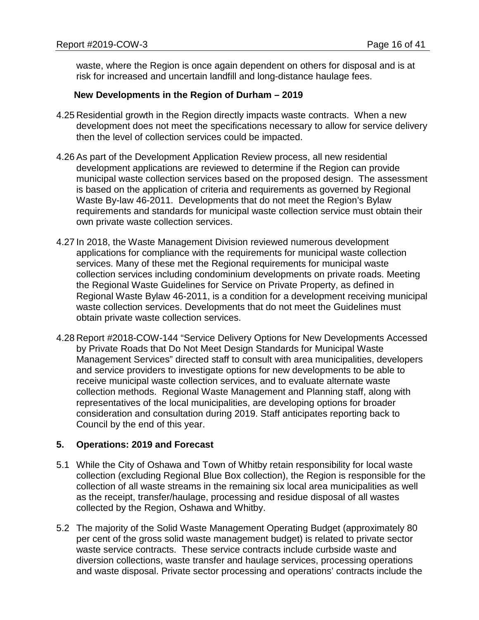waste, where the Region is once again dependent on others for disposal and is at risk for increased and uncertain landfill and long-distance haulage fees.

#### **New Developments in the Region of Durham – 2019**

- 4.25 Residential growth in the Region directly impacts waste contracts. When a new development does not meet the specifications necessary to allow for service delivery then the level of collection services could be impacted.
- 4.26 As part of the Development Application Review process, all new residential development applications are reviewed to determine if the Region can provide municipal waste collection services based on the proposed design. The assessment is based on the application of criteria and requirements as governed by Regional Waste By-law 46-2011. Developments that do not meet the Region's Bylaw requirements and standards for municipal waste collection service must obtain their own private waste collection services.
- 4.27 In 2018, the Waste Management Division reviewed numerous development applications for compliance with the requirements for municipal waste collection services. Many of these met the Regional requirements for municipal waste collection services including condominium developments on private roads. Meeting the Regional Waste Guidelines for Service on Private Property, as defined in Regional Waste Bylaw 46-2011, is a condition for a development receiving municipal waste collection services. Developments that do not meet the Guidelines must obtain private waste collection services.
- 4.28 Report #2018-COW-144 "Service Delivery Options for New Developments Accessed by Private Roads that Do Not Meet Design Standards for Municipal Waste Management Services" directed staff to consult with area municipalities, developers and service providers to investigate options for new developments to be able to receive municipal waste collection services, and to evaluate alternate waste collection methods. Regional Waste Management and Planning staff, along with representatives of the local municipalities, are developing options for broader consideration and consultation during 2019. Staff anticipates reporting back to Council by the end of this year.

## **5. Operations: 2019 and Forecast**

- 5.1 While the City of Oshawa and Town of Whitby retain responsibility for local waste collection (excluding Regional Blue Box collection), the Region is responsible for the collection of all waste streams in the remaining six local area municipalities as well as the receipt, transfer/haulage, processing and residue disposal of all wastes collected by the Region, Oshawa and Whitby.
- 5.2 The majority of the Solid Waste Management Operating Budget (approximately 80 per cent of the gross solid waste management budget) is related to private sector waste service contracts. These service contracts include curbside waste and diversion collections, waste transfer and haulage services, processing operations and waste disposal. Private sector processing and operations' contracts include the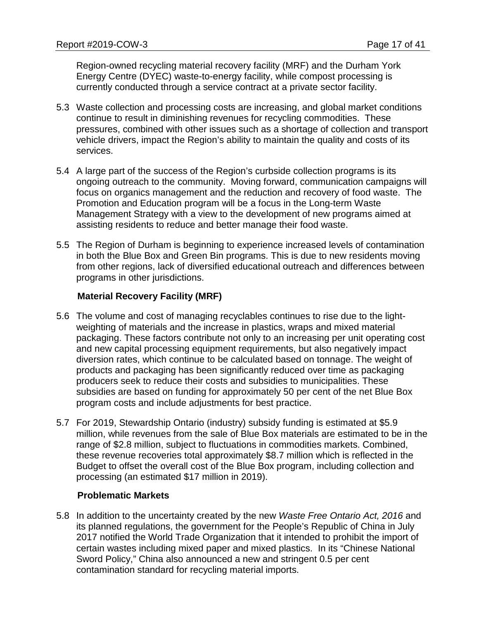Region-owned recycling material recovery facility (MRF) and the Durham York Energy Centre (DYEC) waste-to-energy facility, while compost processing is currently conducted through a service contract at a private sector facility.

- 5.3 Waste collection and processing costs are increasing, and global market conditions continue to result in diminishing revenues for recycling commodities. These pressures, combined with other issues such as a shortage of collection and transport vehicle drivers, impact the Region's ability to maintain the quality and costs of its services.
- 5.4 A large part of the success of the Region's curbside collection programs is its ongoing outreach to the community. Moving forward, communication campaigns will focus on organics management and the reduction and recovery of food waste. The Promotion and Education program will be a focus in the Long-term Waste Management Strategy with a view to the development of new programs aimed at assisting residents to reduce and better manage their food waste.
- 5.5 The Region of Durham is beginning to experience increased levels of contamination in both the Blue Box and Green Bin programs. This is due to new residents moving from other regions, lack of diversified educational outreach and differences between programs in other jurisdictions.

# **Material Recovery Facility (MRF)**

- 5.6 The volume and cost of managing recyclables continues to rise due to the lightweighting of materials and the increase in plastics, wraps and mixed material packaging. These factors contribute not only to an increasing per unit operating cost and new capital processing equipment requirements, but also negatively impact diversion rates, which continue to be calculated based on tonnage. The weight of products and packaging has been significantly reduced over time as packaging producers seek to reduce their costs and subsidies to municipalities. These subsidies are based on funding for approximately 50 per cent of the net Blue Box program costs and include adjustments for best practice.
- 5.7 For 2019, Stewardship Ontario (industry) subsidy funding is estimated at \$5.9 million, while revenues from the sale of Blue Box materials are estimated to be in the range of \$2.8 million, subject to fluctuations in commodities markets. Combined, these revenue recoveries total approximately \$8.7 million which is reflected in the Budget to offset the overall cost of the Blue Box program, including collection and processing (an estimated \$17 million in 2019).

## **Problematic Markets**

5.8 In addition to the uncertainty created by the new *Waste Free Ontario Act, 2016* and its planned regulations, the government for the People's Republic of China in July 2017 notified the World Trade Organization that it intended to prohibit the import of certain wastes including mixed paper and mixed plastics. In its "Chinese National Sword Policy," China also announced a new and stringent 0.5 per cent contamination standard for recycling material imports.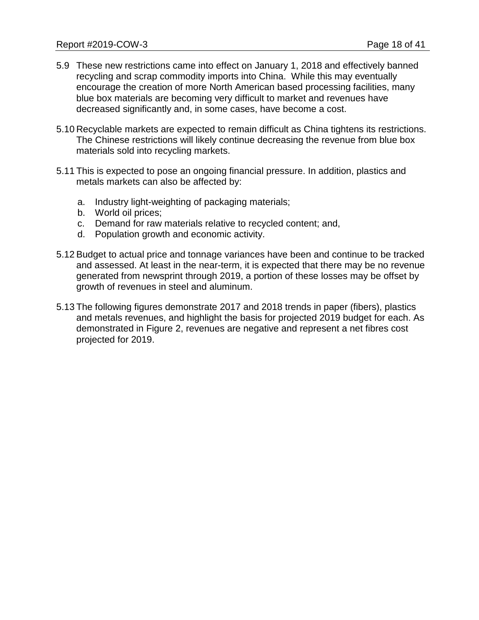- 5.9 These new restrictions came into effect on January 1, 2018 and effectively banned recycling and scrap commodity imports into China. While this may eventually encourage the creation of more North American based processing facilities, many blue box materials are becoming very difficult to market and revenues have decreased significantly and, in some cases, have become a cost.
- 5.10 Recyclable markets are expected to remain difficult as China tightens its restrictions. The Chinese restrictions will likely continue decreasing the revenue from blue box materials sold into recycling markets.
- 5.11 This is expected to pose an ongoing financial pressure. In addition, plastics and metals markets can also be affected by:
	- a. Industry light-weighting of packaging materials;
	- b. World oil prices;
	- c. Demand for raw materials relative to recycled content; and,
	- d. Population growth and economic activity.
- 5.12 Budget to actual price and tonnage variances have been and continue to be tracked and assessed. At least in the near-term, it is expected that there may be no revenue generated from newsprint through 2019, a portion of these losses may be offset by growth of revenues in steel and aluminum.
- 5.13 The following figures demonstrate 2017 and 2018 trends in paper (fibers), plastics and metals revenues, and highlight the basis for projected 2019 budget for each. As demonstrated in Figure 2, revenues are negative and represent a net fibres cost projected for 2019.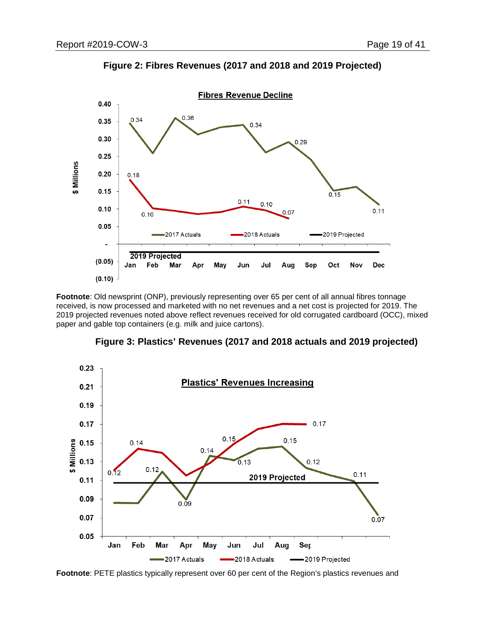

**Figure 2: Fibres Revenues (2017 and 2018 and 2019 Projected)**

**Footnote**: Old newsprint (ONP), previously representing over 65 per cent of all annual fibres tonnage received, is now processed and marketed with no net revenues and a net cost is projected for 2019. The 2019 projected revenues noted above reflect revenues received for old corrugated cardboard (OCC), mixed paper and gable top containers (e.g. milk and juice cartons).





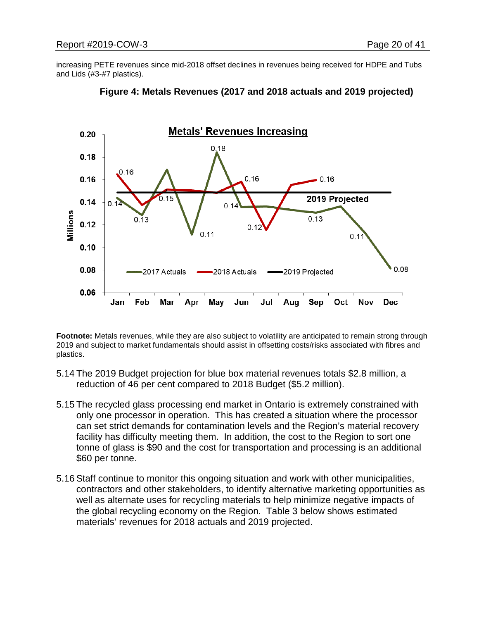increasing PETE revenues since mid-2018 offset declines in revenues being received for HDPE and Tubs and Lids (#3-#7 plastics).





**Footnote:** Metals revenues, while they are also subject to volatility are anticipated to remain strong through 2019 and subject to market fundamentals should assist in offsetting costs/risks associated with fibres and plastics.

- 5.14 The 2019 Budget projection for blue box material revenues totals \$2.8 million, a reduction of 46 per cent compared to 2018 Budget (\$5.2 million).
- 5.15 The recycled glass processing end market in Ontario is extremely constrained with only one processor in operation. This has created a situation where the processor can set strict demands for contamination levels and the Region's material recovery facility has difficulty meeting them. In addition, the cost to the Region to sort one tonne of glass is \$90 and the cost for transportation and processing is an additional \$60 per tonne.
- 5.16 Staff continue to monitor this ongoing situation and work with other municipalities, contractors and other stakeholders, to identify alternative marketing opportunities as well as alternate uses for recycling materials to help minimize negative impacts of the global recycling economy on the Region. Table 3 below shows estimated materials' revenues for 2018 actuals and 2019 projected.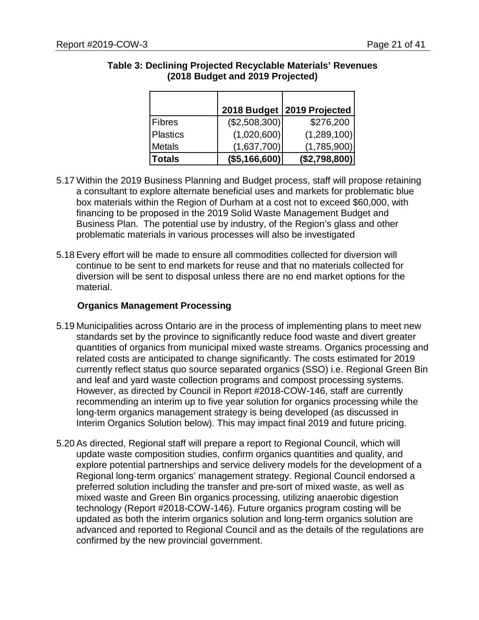|                 |                 | 2018 Budget   2019 Projected |
|-----------------|-----------------|------------------------------|
| Fibres          | $(\$2,508,300)$ | \$276,200                    |
| <b>Plastics</b> | (1,020,600)     | (1,289,100)                  |
| Metals          | (1,637,700)     | (1,785,900)                  |
| Totals          | (\$5,166,600)   | (\$2,798,800)                |

# **Table 3: Declining Projected Recyclable Materials' Revenues (2018 Budget and 2019 Projected)**

- 5.17 Within the 2019 Business Planning and Budget process, staff will propose retaining a consultant to explore alternate beneficial uses and markets for problematic blue box materials within the Region of Durham at a cost not to exceed \$60,000, with financing to be proposed in the 2019 Solid Waste Management Budget and Business Plan. The potential use by industry, of the Region's glass and other problematic materials in various processes will also be investigated
- 5.18 Every effort will be made to ensure all commodities collected for diversion will continue to be sent to end markets for reuse and that no materials collected for diversion will be sent to disposal unless there are no end market options for the material.

# **Organics Management Processing**

- 5.19 Municipalities across Ontario are in the process of implementing plans to meet new standards set by the province to significantly reduce food waste and divert greater quantities of organics from municipal mixed waste streams. Organics processing and related costs are anticipated to change significantly. The costs estimated for 2019 currently reflect status quo source separated organics (SSO) i.e. Regional Green Bin and leaf and yard waste collection programs and compost processing systems. However, as directed by Council in Report #2018-COW-146, staff are currently recommending an interim up to five year solution for organics processing while the long-term organics management strategy is being developed (as discussed in Interim Organics Solution below). This may impact final 2019 and future pricing.
- 5.20 As directed, Regional staff will prepare a report to Regional Council, which will update waste composition studies, confirm organics quantities and quality, and explore potential partnerships and service delivery models for the development of a Regional long-term organics' management strategy. Regional Council endorsed a preferred solution including the transfer and pre-sort of mixed waste, as well as mixed waste and Green Bin organics processing, utilizing anaerobic digestion technology (Report #2018-COW-146). Future organics program costing will be updated as both the interim organics solution and long-term organics solution are advanced and reported to Regional Council and as the details of the regulations are confirmed by the new provincial government.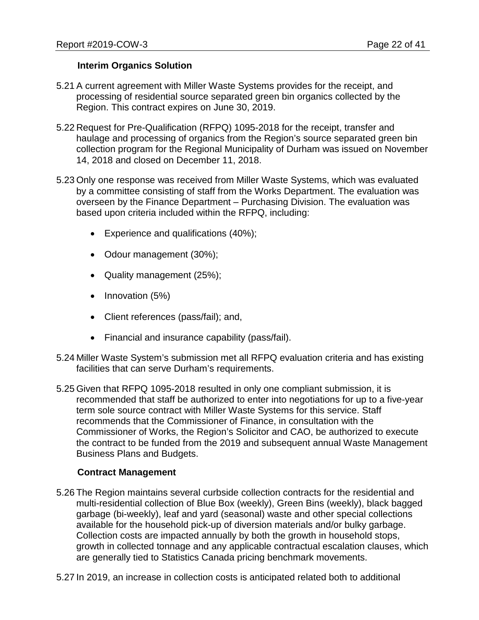## **Interim Organics Solution**

- 5.21 A current agreement with Miller Waste Systems provides for the receipt, and processing of residential source separated green bin organics collected by the Region. This contract expires on June 30, 2019.
- 5.22 Request for Pre-Qualification (RFPQ) 1095-2018 for the receipt, transfer and haulage and processing of organics from the Region's source separated green bin collection program for the Regional Municipality of Durham was issued on November 14, 2018 and closed on December 11, 2018.
- 5.23 Only one response was received from Miller Waste Systems, which was evaluated by a committee consisting of staff from the Works Department. The evaluation was overseen by the Finance Department – Purchasing Division. The evaluation was based upon criteria included within the RFPQ, including:
	- Experience and qualifications (40%);
	- Odour management (30%);
	- Quality management (25%);
	- Innovation (5%)
	- Client references (pass/fail); and,
	- Financial and insurance capability (pass/fail).
- 5.24 Miller Waste System's submission met all RFPQ evaluation criteria and has existing facilities that can serve Durham's requirements.
- 5.25 Given that RFPQ 1095-2018 resulted in only one compliant submission, it is recommended that staff be authorized to enter into negotiations for up to a five-year term sole source contract with Miller Waste Systems for this service. Staff recommends that the Commissioner of Finance, in consultation with the Commissioner of Works, the Region's Solicitor and CAO, be authorized to execute the contract to be funded from the 2019 and subsequent annual Waste Management Business Plans and Budgets.

## **Contract Management**

- 5.26 The Region maintains several curbside collection contracts for the residential and multi-residential collection of Blue Box (weekly), Green Bins (weekly), black bagged garbage (bi-weekly), leaf and yard (seasonal) waste and other special collections available for the household pick-up of diversion materials and/or bulky garbage. Collection costs are impacted annually by both the growth in household stops, growth in collected tonnage and any applicable contractual escalation clauses, which are generally tied to Statistics Canada pricing benchmark movements.
- 5.27 In 2019, an increase in collection costs is anticipated related both to additional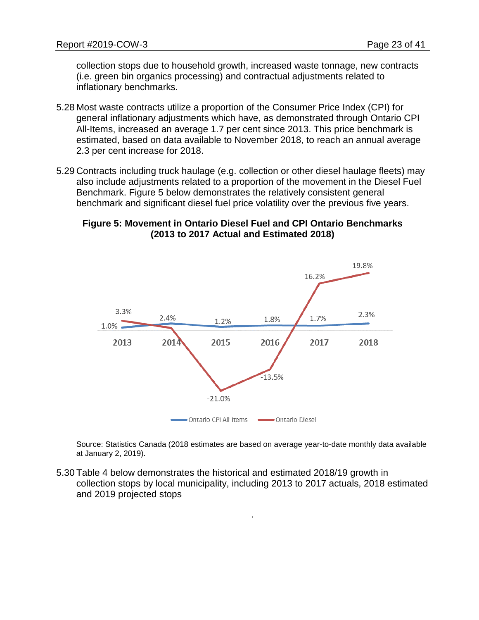collection stops due to household growth, increased waste tonnage, new contracts (i.e. green bin organics processing) and contractual adjustments related to inflationary benchmarks.

- 5.28 Most waste contracts utilize a proportion of the Consumer Price Index (CPI) for general inflationary adjustments which have, as demonstrated through Ontario CPI All-Items, increased an average 1.7 per cent since 2013. This price benchmark is estimated, based on data available to November 2018, to reach an annual average 2.3 per cent increase for 2018.
- 5.29 Contracts including truck haulage (e.g. collection or other diesel haulage fleets) may also include adjustments related to a proportion of the movement in the Diesel Fuel Benchmark. Figure 5 below demonstrates the relatively consistent general benchmark and significant diesel fuel price volatility over the previous five years.

# **Figure 5: Movement in Ontario Diesel Fuel and CPI Ontario Benchmarks (2013 to 2017 Actual and Estimated 2018)**



Source: Statistics Canada (2018 estimates are based on average year-to-date monthly data available at January 2, 2019).

.

5.30 Table 4 below demonstrates the historical and estimated 2018/19 growth in collection stops by local municipality, including 2013 to 2017 actuals, 2018 estimated and 2019 projected stops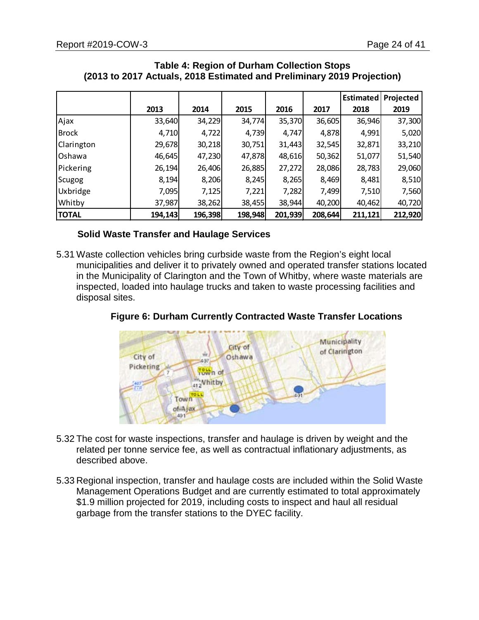|                   |         |         |         |         |         | <b>Estimated</b> | Projected |
|-------------------|---------|---------|---------|---------|---------|------------------|-----------|
|                   | 2013    | 2014    | 2015    | 2016    | 2017    | 2018             | 2019      |
| Ajax              | 33,640  | 34,229  | 34,774  | 35,370  | 36,605  | 36,946           | 37,300    |
| <b>Brock</b>      | 4,710   | 4,722   | 4,739   | 4,747   | 4,878   | 4,991            | 5,020     |
| <b>Clarington</b> | 29,678  | 30,218  | 30,751  | 31,443  | 32,545  | 32,871           | 33,210    |
| Oshawa            | 46,645  | 47,230  | 47,878  | 48,616  | 50,362  | 51,077           | 51,540    |
| Pickering         | 26,194  | 26,406  | 26,885  | 27,272  | 28,086  | 28,783           | 29,060    |
| Scugog            | 8,194   | 8,206   | 8,245   | 8,265   | 8,469   | 8,481            | 8,510     |
| Uxbridge          | 7,095   | 7,125   | 7,221   | 7,282   | 7,499   | 7,510            | 7,560     |
| Whitby            | 37,987  | 38,262  | 38,455  | 38,944  | 40,200  | 40,462           | 40,720    |
| <b>TOTAL</b>      | 194,143 | 196,398 | 198,948 | 201,939 | 208,644 | 211,121          | 212,920   |

#### **Table 4: Region of Durham Collection Stops (2013 to 2017 Actuals, 2018 Estimated and Preliminary 2019 Projection)**

## **Solid Waste Transfer and Haulage Services**

5.31 Waste collection vehicles bring curbside waste from the Region's eight local municipalities and deliver it to privately owned and operated transfer stations located in the Municipality of Clarington and the Town of Whitby, where waste materials are inspected, loaded into haulage trucks and taken to waste processing facilities and disposal sites.



**Figure 6: Durham Currently Contracted Waste Transfer Locations**

- 5.32 The cost for waste inspections, transfer and haulage is driven by weight and the related per tonne service fee, as well as contractual inflationary adjustments, as described above.
- 5.33 Regional inspection, transfer and haulage costs are included within the Solid Waste Management Operations Budget and are currently estimated to total approximately \$1.9 million projected for 2019, including costs to inspect and haul all residual garbage from the transfer stations to the DYEC facility.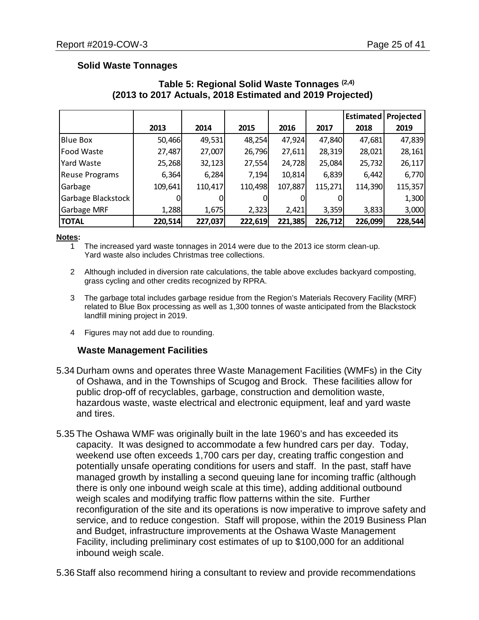# **Solid Waste Tonnages**

|                       |         |         |         |         |         | <b>Estimated</b> | Projected |
|-----------------------|---------|---------|---------|---------|---------|------------------|-----------|
|                       | 2013    | 2014    | 2015    | 2016    | 2017    | 2018             | 2019      |
| <b>Blue Box</b>       | 50,466  | 49,531  | 48,254  | 47,924  | 47,840  | 47,681           | 47,839    |
| Food Waste            | 27,487  | 27,007  | 26,796  | 27,611  | 28,319  | 28,021           | 28,161    |
| Yard Waste            | 25,268  | 32,123  | 27,554  | 24,728  | 25,084  | 25,732           | 26,117    |
| <b>Reuse Programs</b> | 6,364   | 6,284   | 7,194   | 10,814  | 6,839   | 6,442            | 6,770     |
| Garbage               | 109,641 | 110,417 | 110,498 | 107,887 | 115,271 | 114,390          | 115,357   |
| Garbage Blackstock    |         |         |         |         |         |                  | 1,300     |
| Garbage MRF           | 1,288   | 1,675   | 2,323   | 2,421   | 3,359   | 3,833            | 3,000     |
| <b>TOTAL</b>          | 220,514 | 227,037 | 222,619 | 221,385 | 226,712 | 226,099          | 228,544   |

# **Table 5: Regional Solid Waste Tonnages (2,4) (2013 to 2017 Actuals, 2018 Estimated and 2019 Projected)**

#### **Notes:**

- 1 The increased yard waste tonnages in 2014 were due to the 2013 ice storm clean-up. Yard waste also includes Christmas tree collections.
- 2 Although included in diversion rate calculations, the table above excludes backyard composting, grass cycling and other credits recognized by RPRA.
- 3 The garbage total includes garbage residue from the Region's Materials Recovery Facility (MRF) related to Blue Box processing as well as 1,300 tonnes of waste anticipated from the Blackstock landfill mining project in 2019.
- 4 Figures may not add due to rounding.

## **Waste Management Facilities**

- 5.34 Durham owns and operates three Waste Management Facilities (WMFs) in the City of Oshawa, and in the Townships of Scugog and Brock. These facilities allow for public drop-off of recyclables, garbage, construction and demolition waste, hazardous waste, waste electrical and electronic equipment, leaf and yard waste and tires.
- 5.35 The Oshawa WMF was originally built in the late 1960's and has exceeded its capacity. It was designed to accommodate a few hundred cars per day. Today, weekend use often exceeds 1,700 cars per day, creating traffic congestion and potentially unsafe operating conditions for users and staff. In the past, staff have managed growth by installing a second queuing lane for incoming traffic (although there is only one inbound weigh scale at this time), adding additional outbound weigh scales and modifying traffic flow patterns within the site. Further reconfiguration of the site and its operations is now imperative to improve safety and service, and to reduce congestion. Staff will propose, within the 2019 Business Plan and Budget, infrastructure improvements at the Oshawa Waste Management Facility, including preliminary cost estimates of up to \$100,000 for an additional inbound weigh scale.
- 5.36 Staff also recommend hiring a consultant to review and provide recommendations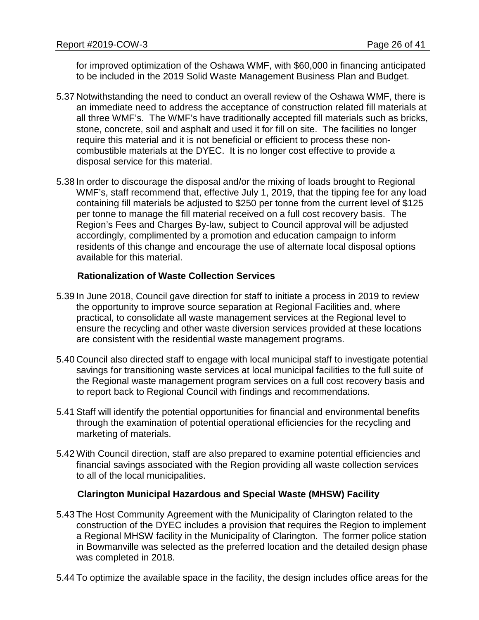for improved optimization of the Oshawa WMF, with \$60,000 in financing anticipated to be included in the 2019 Solid Waste Management Business Plan and Budget.

- 5.37 Notwithstanding the need to conduct an overall review of the Oshawa WMF, there is an immediate need to address the acceptance of construction related fill materials at all three WMF's. The WMF's have traditionally accepted fill materials such as bricks, stone, concrete, soil and asphalt and used it for fill on site. The facilities no longer require this material and it is not beneficial or efficient to process these noncombustible materials at the DYEC. It is no longer cost effective to provide a disposal service for this material.
- 5.38 In order to discourage the disposal and/or the mixing of loads brought to Regional WMF's, staff recommend that, effective July 1, 2019, that the tipping fee for any load containing fill materials be adjusted to \$250 per tonne from the current level of \$125 per tonne to manage the fill material received on a full cost recovery basis. The Region's Fees and Charges By-law, subject to Council approval will be adjusted accordingly, complimented by a promotion and education campaign to inform residents of this change and encourage the use of alternate local disposal options available for this material.

# **Rationalization of Waste Collection Services**

- 5.39 In June 2018, Council gave direction for staff to initiate a process in 2019 to review the opportunity to improve source separation at Regional Facilities and, where practical, to consolidate all waste management services at the Regional level to ensure the recycling and other waste diversion services provided at these locations are consistent with the residential waste management programs.
- 5.40 Council also directed staff to engage with local municipal staff to investigate potential savings for transitioning waste services at local municipal facilities to the full suite of the Regional waste management program services on a full cost recovery basis and to report back to Regional Council with findings and recommendations.
- 5.41 Staff will identify the potential opportunities for financial and environmental benefits through the examination of potential operational efficiencies for the recycling and marketing of materials.
- 5.42 With Council direction, staff are also prepared to examine potential efficiencies and financial savings associated with the Region providing all waste collection services to all of the local municipalities.

## **Clarington Municipal Hazardous and Special Waste (MHSW) Facility**

- 5.43 The Host Community Agreement with the Municipality of Clarington related to the construction of the DYEC includes a provision that requires the Region to implement a Regional MHSW facility in the Municipality of Clarington. The former police station in Bowmanville was selected as the preferred location and the detailed design phase was completed in 2018.
- 5.44 To optimize the available space in the facility, the design includes office areas for the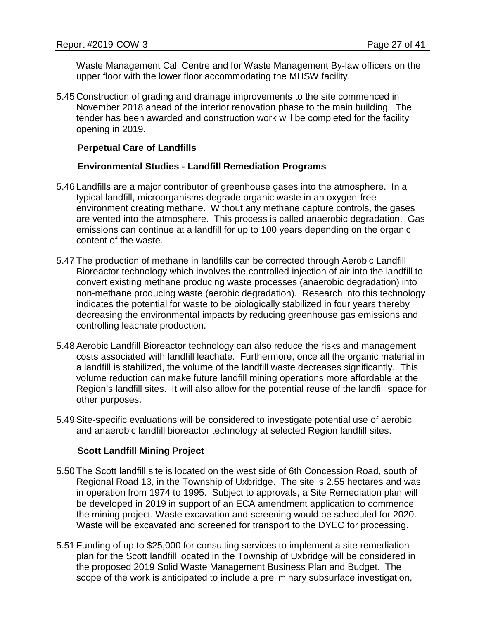Waste Management Call Centre and for Waste Management By-law officers on the upper floor with the lower floor accommodating the MHSW facility.

5.45 Construction of grading and drainage improvements to the site commenced in November 2018 ahead of the interior renovation phase to the main building. The tender has been awarded and construction work will be completed for the facility opening in 2019.

#### **Perpetual Care of Landfills**

#### **Environmental Studies - Landfill Remediation Programs**

- 5.46 Landfills are a major contributor of greenhouse gases into the atmosphere. In a typical landfill, microorganisms degrade organic waste in an oxygen-free environment creating methane. Without any methane capture controls, the gases are vented into the atmosphere. This process is called anaerobic degradation. Gas emissions can continue at a landfill for up to 100 years depending on the organic content of the waste.
- 5.47 The production of methane in landfills can be corrected through Aerobic Landfill Bioreactor technology which involves the controlled injection of air into the landfill to convert existing methane producing waste processes (anaerobic degradation) into non-methane producing waste (aerobic degradation). Research into this technology indicates the potential for waste to be biologically stabilized in four years thereby decreasing the environmental impacts by reducing greenhouse gas emissions and controlling leachate production.
- 5.48 Aerobic Landfill Bioreactor technology can also reduce the risks and management costs associated with landfill leachate. Furthermore, once all the organic material in a landfill is stabilized, the volume of the landfill waste decreases significantly. This volume reduction can make future landfill mining operations more affordable at the Region's landfill sites. It will also allow for the potential reuse of the landfill space for other purposes.
- 5.49 Site-specific evaluations will be considered to investigate potential use of aerobic and anaerobic landfill bioreactor technology at selected Region landfill sites.

## **Scott Landfill Mining Project**

- 5.50 The Scott landfill site is located on the west side of 6th Concession Road, south of Regional Road 13, in the Township of Uxbridge. The site is 2.55 hectares and was in operation from 1974 to 1995. Subject to approvals, a Site Remediation plan will be developed in 2019 in support of an ECA amendment application to commence the mining project. Waste excavation and screening would be scheduled for 2020. Waste will be excavated and screened for transport to the DYEC for processing.
- 5.51 Funding of up to \$25,000 for consulting services to implement a site remediation plan for the Scott landfill located in the Township of Uxbridge will be considered in the proposed 2019 Solid Waste Management Business Plan and Budget. The scope of the work is anticipated to include a preliminary subsurface investigation,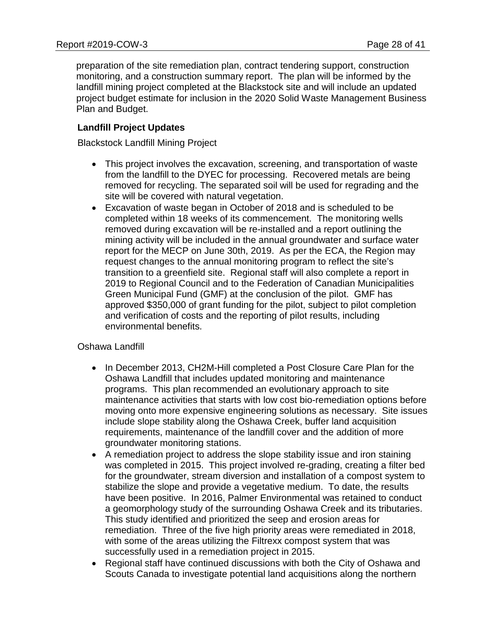preparation of the site remediation plan, contract tendering support, construction monitoring, and a construction summary report. The plan will be informed by the landfill mining project completed at the Blackstock site and will include an updated project budget estimate for inclusion in the 2020 Solid Waste Management Business Plan and Budget.

# **Landfill Project Updates**

Blackstock Landfill Mining Project

- This project involves the excavation, screening, and transportation of waste from the landfill to the DYEC for processing. Recovered metals are being removed for recycling. The separated soil will be used for regrading and the site will be covered with natural vegetation.
- Excavation of waste began in October of 2018 and is scheduled to be completed within 18 weeks of its commencement. The monitoring wells removed during excavation will be re-installed and a report outlining the mining activity will be included in the annual groundwater and surface water report for the MECP on June 30th, 2019. As per the ECA, the Region may request changes to the annual monitoring program to reflect the site's transition to a greenfield site. Regional staff will also complete a report in 2019 to Regional Council and to the Federation of Canadian Municipalities Green Municipal Fund (GMF) at the conclusion of the pilot. GMF has approved \$350,000 of grant funding for the pilot, subject to pilot completion and verification of costs and the reporting of pilot results, including environmental benefits.

## Oshawa Landfill

- In December 2013, CH2M-Hill completed a Post Closure Care Plan for the Oshawa Landfill that includes updated monitoring and maintenance programs. This plan recommended an evolutionary approach to site maintenance activities that starts with low cost bio-remediation options before moving onto more expensive engineering solutions as necessary. Site issues include slope stability along the Oshawa Creek, buffer land acquisition requirements, maintenance of the landfill cover and the addition of more groundwater monitoring stations.
- A remediation project to address the slope stability issue and iron staining was completed in 2015. This project involved re-grading, creating a filter bed for the groundwater, stream diversion and installation of a compost system to stabilize the slope and provide a vegetative medium. To date, the results have been positive. In 2016, Palmer Environmental was retained to conduct a geomorphology study of the surrounding Oshawa Creek and its tributaries. This study identified and prioritized the seep and erosion areas for remediation. Three of the five high priority areas were remediated in 2018, with some of the areas utilizing the Filtrexx compost system that was successfully used in a remediation project in 2015.
- Regional staff have continued discussions with both the City of Oshawa and Scouts Canada to investigate potential land acquisitions along the northern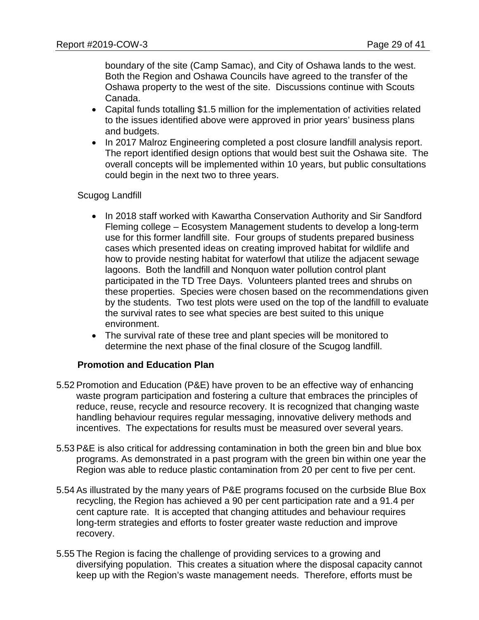boundary of the site (Camp Samac), and City of Oshawa lands to the west. Both the Region and Oshawa Councils have agreed to the transfer of the Oshawa property to the west of the site. Discussions continue with Scouts Canada.

- Capital funds totalling \$1.5 million for the implementation of activities related to the issues identified above were approved in prior years' business plans and budgets.
- In 2017 Malroz Engineering completed a post closure landfill analysis report. The report identified design options that would best suit the Oshawa site. The overall concepts will be implemented within 10 years, but public consultations could begin in the next two to three years.

## Scugog Landfill

- In 2018 staff worked with Kawartha Conservation Authority and Sir Sandford Fleming college – Ecosystem Management students to develop a long-term use for this former landfill site. Four groups of students prepared business cases which presented ideas on creating improved habitat for wildlife and how to provide nesting habitat for waterfowl that utilize the adjacent sewage lagoons. Both the landfill and Nonquon water pollution control plant participated in the TD Tree Days. Volunteers planted trees and shrubs on these properties. Species were chosen based on the recommendations given by the students. Two test plots were used on the top of the landfill to evaluate the survival rates to see what species are best suited to this unique environment.
- The survival rate of these tree and plant species will be monitored to determine the next phase of the final closure of the Scugog landfill.

## **Promotion and Education Plan**

- 5.52 Promotion and Education (P&E) have proven to be an effective way of enhancing waste program participation and fostering a culture that embraces the principles of reduce, reuse, recycle and resource recovery. It is recognized that changing waste handling behaviour requires regular messaging, innovative delivery methods and incentives. The expectations for results must be measured over several years.
- 5.53 P&E is also critical for addressing contamination in both the green bin and blue box programs. As demonstrated in a past program with the green bin within one year the Region was able to reduce plastic contamination from 20 per cent to five per cent.
- 5.54 As illustrated by the many years of P&E programs focused on the curbside Blue Box recycling, the Region has achieved a 90 per cent participation rate and a 91.4 per cent capture rate. It is accepted that changing attitudes and behaviour requires long-term strategies and efforts to foster greater waste reduction and improve recovery.
- 5.55 The Region is facing the challenge of providing services to a growing and diversifying population. This creates a situation where the disposal capacity cannot keep up with the Region's waste management needs. Therefore, efforts must be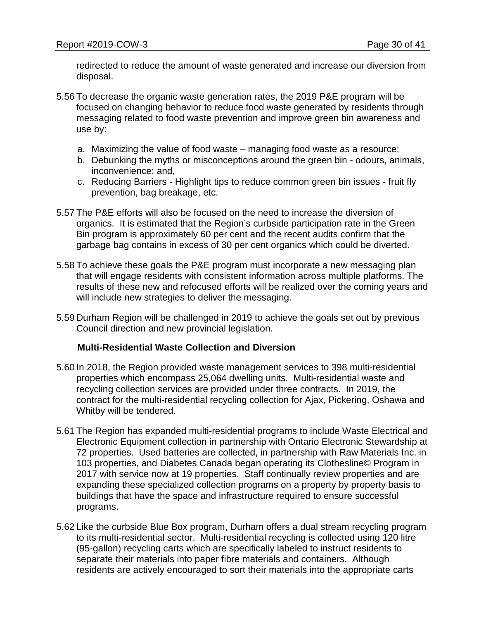redirected to reduce the amount of waste generated and increase our diversion from disposal.

- 5.56 To decrease the organic waste generation rates, the 2019 P&E program will be focused on changing behavior to reduce food waste generated by residents through messaging related to food waste prevention and improve green bin awareness and use by:
	- a. Maximizing the value of food waste managing food waste as a resource;
	- b. Debunking the myths or misconceptions around the green bin odours, animals, inconvenience; and,
	- c. Reducing Barriers Highlight tips to reduce common green bin issues fruit fly prevention, bag breakage, etc.
- 5.57 The P&E efforts will also be focused on the need to increase the diversion of organics. It is estimated that the Region's curbside participation rate in the Green Bin program is approximately 60 per cent and the recent audits confirm that the garbage bag contains in excess of 30 per cent organics which could be diverted.
- 5.58 To achieve these goals the P&E program must incorporate a new messaging plan that will engage residents with consistent information across multiple platforms. The results of these new and refocused efforts will be realized over the coming years and will include new strategies to deliver the messaging.
- 5.59 Durham Region will be challenged in 2019 to achieve the goals set out by previous Council direction and new provincial legislation.

#### **Multi-Residential Waste Collection and Diversion**

- 5.60 In 2018, the Region provided waste management services to 398 multi-residential properties which encompass 25,064 dwelling units. Multi-residential waste and recycling collection services are provided under three contracts. In 2019, the contract for the multi-residential recycling collection for Ajax, Pickering, Oshawa and Whitby will be tendered.
- 5.61 The Region has expanded multi-residential programs to include Waste Electrical and Electronic Equipment collection in partnership with Ontario Electronic Stewardship at 72 properties. Used batteries are collected, in partnership with Raw Materials Inc. in 103 properties, and Diabetes Canada began operating its Clothesline© Program in 2017 with service now at 19 properties. Staff continually review properties and are expanding these specialized collection programs on a property by property basis to buildings that have the space and infrastructure required to ensure successful programs.
- 5.62 Like the curbside Blue Box program, Durham offers a dual stream recycling program to its multi-residential sector. Multi-residential recycling is collected using 120 litre (95-gallon) recycling carts which are specifically labeled to instruct residents to separate their materials into paper fibre materials and containers. Although residents are actively encouraged to sort their materials into the appropriate carts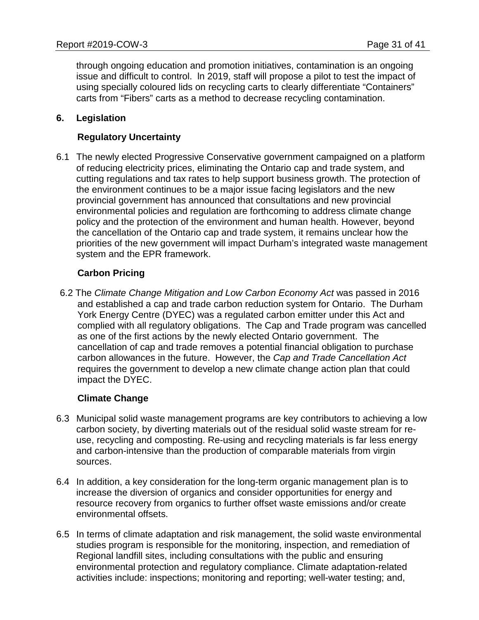through ongoing education and promotion initiatives, contamination is an ongoing issue and difficult to control. ln 2019, staff will propose a pilot to test the impact of using specially coloured lids on recycling carts to clearly differentiate "Containers" carts from "Fibers" carts as a method to decrease recycling contamination.

## **6. Legislation**

# **Regulatory Uncertainty**

6.1 The newly elected Progressive Conservative government campaigned on a platform of reducing electricity prices, eliminating the Ontario cap and trade system, and cutting regulations and tax rates to help support business growth. The protection of the environment continues to be a major issue facing legislators and the new provincial government has announced that consultations and new provincial environmental policies and regulation are forthcoming to address climate change policy and the protection of the environment and human health. However, beyond the cancellation of the Ontario cap and trade system, it remains unclear how the priorities of the new government will impact Durham's integrated waste management system and the EPR framework.

# **Carbon Pricing**

6.2 The *Climate Change Mitigation and Low Carbon Economy Act* was passed in 2016 and established a cap and trade carbon reduction system for Ontario. The Durham York Energy Centre (DYEC) was a regulated carbon emitter under this Act and complied with all regulatory obligations. The Cap and Trade program was cancelled as one of the first actions by the newly elected Ontario government. The cancellation of cap and trade removes a potential financial obligation to purchase carbon allowances in the future. However, the *Cap and Trade Cancellation Act* requires the government to develop a new climate change action plan that could impact the DYEC.

## **Climate Change**

- 6.3 Municipal solid waste management programs are key contributors to achieving a low carbon society, by diverting materials out of the residual solid waste stream for reuse, recycling and composting. Re-using and recycling materials is far less energy and carbon-intensive than the production of comparable materials from virgin sources.
- 6.4 In addition, a key consideration for the long-term organic management plan is to increase the diversion of organics and consider opportunities for energy and resource recovery from organics to further offset waste emissions and/or create environmental offsets.
- 6.5 In terms of climate adaptation and risk management, the solid waste environmental studies program is responsible for the monitoring, inspection, and remediation of Regional landfill sites, including consultations with the public and ensuring environmental protection and regulatory compliance. Climate adaptation-related activities include: inspections; monitoring and reporting; well-water testing; and,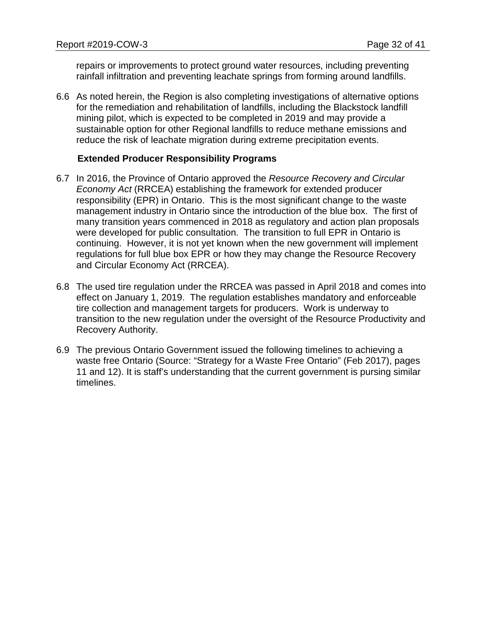repairs or improvements to protect ground water resources, including preventing rainfall infiltration and preventing leachate springs from forming around landfills.

6.6 As noted herein, the Region is also completing investigations of alternative options for the remediation and rehabilitation of landfills, including the Blackstock landfill mining pilot, which is expected to be completed in 2019 and may provide a sustainable option for other Regional landfills to reduce methane emissions and reduce the risk of leachate migration during extreme precipitation events.

#### **Extended Producer Responsibility Programs**

- 6.7 In 2016, the Province of Ontario approved the *Resource Recovery and Circular Economy Act* (RRCEA) establishing the framework for extended producer responsibility (EPR) in Ontario. This is the most significant change to the waste management industry in Ontario since the introduction of the blue box. The first of many transition years commenced in 2018 as regulatory and action plan proposals were developed for public consultation. The transition to full EPR in Ontario is continuing. However, it is not yet known when the new government will implement regulations for full blue box EPR or how they may change the Resource Recovery and Circular Economy Act (RRCEA).
- 6.8 The used tire regulation under the RRCEA was passed in April 2018 and comes into effect on January 1, 2019. The regulation establishes mandatory and enforceable tire collection and management targets for producers. Work is underway to transition to the new regulation under the oversight of the Resource Productivity and Recovery Authority.
- 6.9 The previous Ontario Government issued the following timelines to achieving a waste free Ontario (Source: "Strategy for a Waste Free Ontario" (Feb 2017), pages 11 and 12). It is staff's understanding that the current government is pursing similar timelines.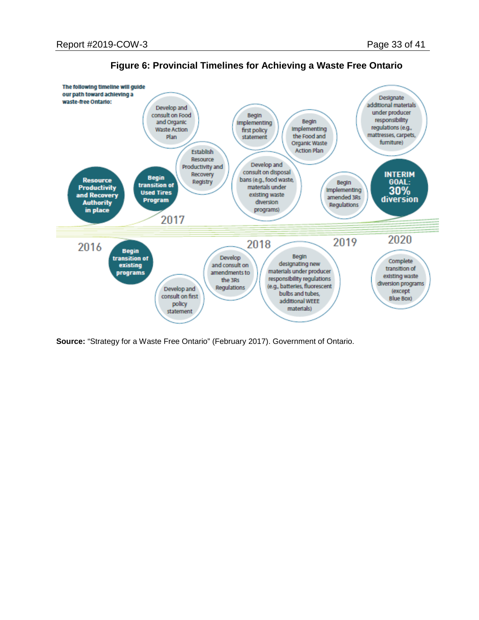

**Figure 6: Provincial Timelines for Achieving a Waste Free Ontario**

**Source:** "Strategy for a Waste Free Ontario" (February 2017). Government of Ontario.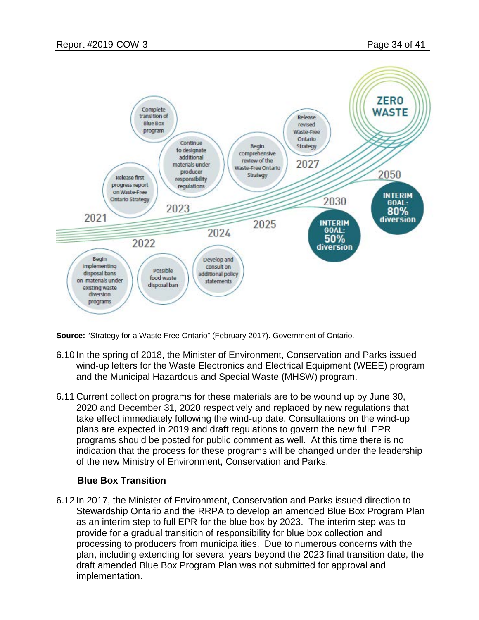

**Source:** "Strategy for a Waste Free Ontario" (February 2017). Government of Ontario.

- 6.10 In the spring of 2018, the Minister of Environment, Conservation and Parks issued wind-up letters for the Waste Electronics and Electrical Equipment (WEEE) program and the Municipal Hazardous and Special Waste (MHSW) program.
- 6.11 Current collection programs for these materials are to be wound up by June 30, 2020 and December 31, 2020 respectively and replaced by new regulations that take effect immediately following the wind-up date. Consultations on the wind-up plans are expected in 2019 and draft regulations to govern the new full EPR programs should be posted for public comment as well. At this time there is no indication that the process for these programs will be changed under the leadership of the new Ministry of Environment, Conservation and Parks.

#### **Blue Box Transition**

6.12 In 2017, the Minister of Environment, Conservation and Parks issued direction to Stewardship Ontario and the RRPA to develop an amended Blue Box Program Plan as an interim step to full EPR for the blue box by 2023. The interim step was to provide for a gradual transition of responsibility for blue box collection and processing to producers from municipalities. Due to numerous concerns with the plan, including extending for several years beyond the 2023 final transition date, the draft amended Blue Box Program Plan was not submitted for approval and implementation.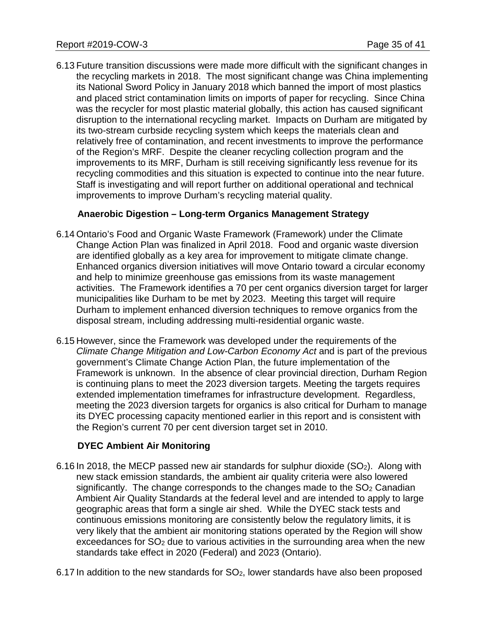6.13 Future transition discussions were made more difficult with the significant changes in the recycling markets in 2018. The most significant change was China implementing its National Sword Policy in January 2018 which banned the import of most plastics and placed strict contamination limits on imports of paper for recycling. Since China was the recycler for most plastic material globally, this action has caused significant disruption to the international recycling market. Impacts on Durham are mitigated by its two-stream curbside recycling system which keeps the materials clean and relatively free of contamination, and recent investments to improve the performance of the Region's MRF. Despite the cleaner recycling collection program and the improvements to its MRF, Durham is still receiving significantly less revenue for its recycling commodities and this situation is expected to continue into the near future. Staff is investigating and will report further on additional operational and technical improvements to improve Durham's recycling material quality.

# **Anaerobic Digestion – Long-term Organics Management Strategy**

- 6.14 Ontario's Food and Organic Waste Framework (Framework) under the Climate Change Action Plan was finalized in April 2018. Food and organic waste diversion are identified globally as a key area for improvement to mitigate climate change. Enhanced organics diversion initiatives will move Ontario toward a circular economy and help to minimize greenhouse gas emissions from its waste management activities. The Framework identifies a 70 per cent organics diversion target for larger municipalities like Durham to be met by 2023. Meeting this target will require Durham to implement enhanced diversion techniques to remove organics from the disposal stream, including addressing multi-residential organic waste.
- 6.15 However, since the Framework was developed under the requirements of the *Climate Change Mitigation and Low-Carbon Economy Act* and is part of the previous government's Climate Change Action Plan, the future implementation of the Framework is unknown. In the absence of clear provincial direction, Durham Region is continuing plans to meet the 2023 diversion targets. Meeting the targets requires extended implementation timeframes for infrastructure development. Regardless, meeting the 2023 diversion targets for organics is also critical for Durham to manage its DYEC processing capacity mentioned earlier in this report and is consistent with the Region's current 70 per cent diversion target set in 2010.

## **DYEC Ambient Air Monitoring**

- 6.16 In 2018, the MECP passed new air standards for sulphur dioxide  $(SO<sub>2</sub>)$ . Along with new stack emission standards, the ambient air quality criteria were also lowered significantly. The change corresponds to the changes made to the  $SO<sub>2</sub>$  Canadian Ambient Air Quality Standards at the federal level and are intended to apply to large geographic areas that form a single air shed. While the DYEC stack tests and continuous emissions monitoring are consistently below the regulatory limits, it is very likely that the ambient air monitoring stations operated by the Region will show exceedances for SO<sub>2</sub> due to various activities in the surrounding area when the new standards take effect in 2020 (Federal) and 2023 (Ontario).
- 6.17 In addition to the new standards for  $SO<sub>2</sub>$ , lower standards have also been proposed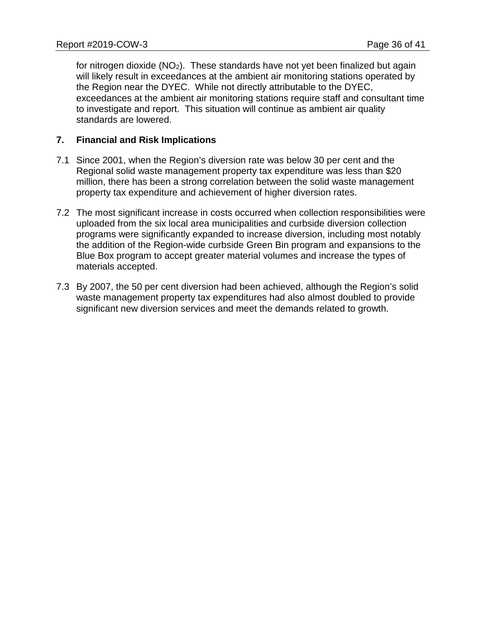for nitrogen dioxide  $(NO<sub>2</sub>)$ . These standards have not yet been finalized but again will likely result in exceedances at the ambient air monitoring stations operated by the Region near the DYEC. While not directly attributable to the DYEC, exceedances at the ambient air monitoring stations require staff and consultant time to investigate and report. This situation will continue as ambient air quality standards are lowered.

# **7. Financial and Risk Implications**

- 7.1 Since 2001, when the Region's diversion rate was below 30 per cent and the Regional solid waste management property tax expenditure was less than \$20 million, there has been a strong correlation between the solid waste management property tax expenditure and achievement of higher diversion rates.
- 7.2 The most significant increase in costs occurred when collection responsibilities were uploaded from the six local area municipalities and curbside diversion collection programs were significantly expanded to increase diversion, including most notably the addition of the Region-wide curbside Green Bin program and expansions to the Blue Box program to accept greater material volumes and increase the types of materials accepted.
- 7.3 By 2007, the 50 per cent diversion had been achieved, although the Region's solid waste management property tax expenditures had also almost doubled to provide significant new diversion services and meet the demands related to growth.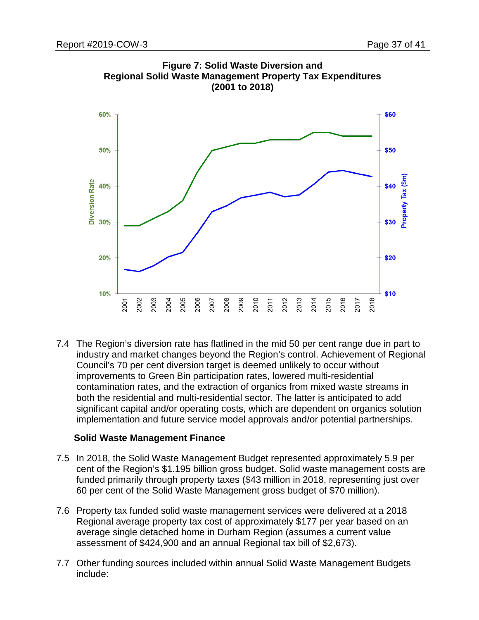



7.4 The Region's diversion rate has flatlined in the mid 50 per cent range due in part to industry and market changes beyond the Region's control. Achievement of Regional Council's 70 per cent diversion target is deemed unlikely to occur without improvements to Green Bin participation rates, lowered multi-residential contamination rates, and the extraction of organics from mixed waste streams in both the residential and multi-residential sector. The latter is anticipated to add significant capital and/or operating costs, which are dependent on organics solution implementation and future service model approvals and/or potential partnerships.

## **Solid Waste Management Finance**

- 7.5 In 2018, the Solid Waste Management Budget represented approximately 5.9 per cent of the Region's \$1.195 billion gross budget. Solid waste management costs are funded primarily through property taxes (\$43 million in 2018, representing just over 60 per cent of the Solid Waste Management gross budget of \$70 million).
- 7.6 Property tax funded solid waste management services were delivered at a 2018 Regional average property tax cost of approximately \$177 per year based on an average single detached home in Durham Region (assumes a current value assessment of \$424,900 and an annual Regional tax bill of \$2,673).
- 7.7 Other funding sources included within annual Solid Waste Management Budgets include: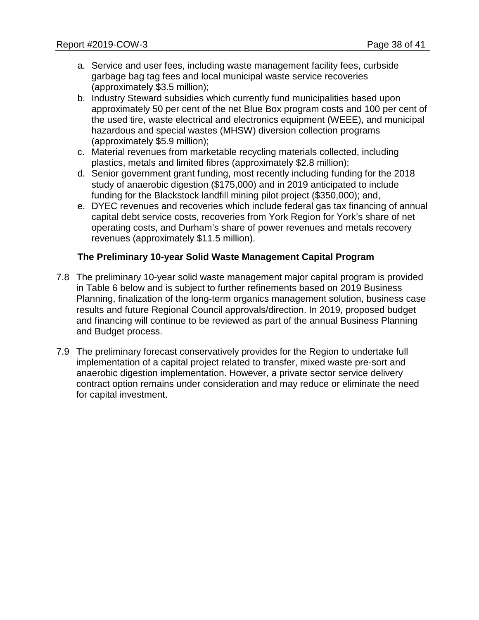- a. Service and user fees, including waste management facility fees, curbside garbage bag tag fees and local municipal waste service recoveries (approximately \$3.5 million);
- b. Industry Steward subsidies which currently fund municipalities based upon approximately 50 per cent of the net Blue Box program costs and 100 per cent of the used tire, waste electrical and electronics equipment (WEEE), and municipal hazardous and special wastes (MHSW) diversion collection programs (approximately \$5.9 million);
- c. Material revenues from marketable recycling materials collected, including plastics, metals and limited fibres (approximately \$2.8 million);
- d. Senior government grant funding, most recently including funding for the 2018 study of anaerobic digestion (\$175,000) and in 2019 anticipated to include funding for the Blackstock landfill mining pilot project (\$350,000); and,
- e. DYEC revenues and recoveries which include federal gas tax financing of annual capital debt service costs, recoveries from York Region for York's share of net operating costs, and Durham's share of power revenues and metals recovery revenues (approximately \$11.5 million).

# **The Preliminary 10-year Solid Waste Management Capital Program**

- 7.8 The preliminary 10-year solid waste management major capital program is provided in Table 6 below and is subject to further refinements based on 2019 Business Planning, finalization of the long-term organics management solution, business case results and future Regional Council approvals/direction. In 2019, proposed budget and financing will continue to be reviewed as part of the annual Business Planning and Budget process.
- 7.9 The preliminary forecast conservatively provides for the Region to undertake full implementation of a capital project related to transfer, mixed waste pre-sort and anaerobic digestion implementation. However, a private sector service delivery contract option remains under consideration and may reduce or eliminate the need for capital investment.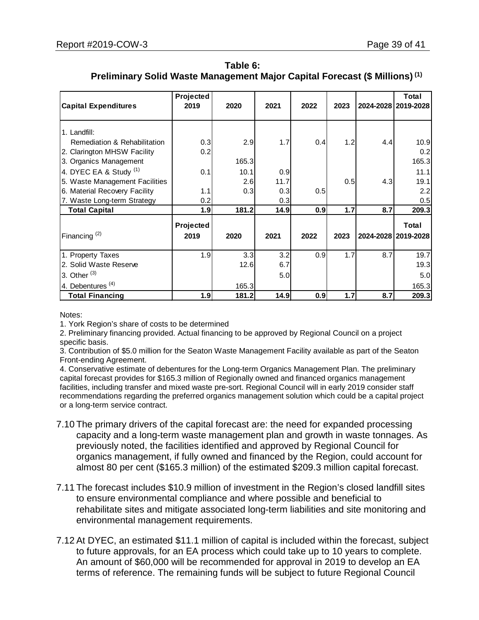| Table 6:                                                                               |
|----------------------------------------------------------------------------------------|
| Preliminary Solid Waste Management Major Capital Forecast (\$ Millions) <sup>(1)</sup> |

| <b>Capital Expenditures</b>    | Projected<br>2019 | 2020  | 2021 | 2022 | 2023 |     | Total<br>2024-2028 2019-2028 |
|--------------------------------|-------------------|-------|------|------|------|-----|------------------------------|
| 1. Landfill:                   |                   |       |      |      |      |     |                              |
| Remediation & Rehabilitation   | 0.3               | 2.9   | 1.7  | 0.4  | 1.2  | 4.4 | 10.9                         |
| 2. Clarington MHSW Facility    | 0.2               |       |      |      |      |     | 0.2                          |
| 3. Organics Management         |                   | 165.3 |      |      |      |     | 165.3                        |
| 4. DYEC EA & Study (1)         | 0.1               | 10.1  | 0.9  |      |      |     | 11.1                         |
| 5. Waste Management Facilities |                   | 2.6   | 11.7 |      | 0.5  | 4.3 | 19.1                         |
| 6. Material Recovery Facility  | 1.1               | 0.3   | 0.3  | 0.5  |      |     | 2.2                          |
| 7. Waste Long-term Strategy    | 0.2               |       | 0.3  |      |      |     | 0.5                          |
| <b>Total Capital</b>           | 1.9               | 181.2 | 14.9 | 0.9  | 1.7  | 8.7 | 209.3                        |
|                                | <b>Projected</b>  |       |      |      |      |     | Total                        |
| Financing $(2)$                | 2019              | 2020  | 2021 | 2022 | 2023 |     | 2024-2028 2019-2028          |
|                                |                   |       |      |      |      |     |                              |
| 1. Property Taxes              | 1.9               | 3.3   | 3.2  | 0.9  | 1.7  | 8.7 | 19.7                         |
| 2. Solid Waste Reserve         |                   | 12.6  | 6.7  |      |      |     | 19.3                         |
| 3. Other $(3)$                 |                   |       | 5.0  |      |      |     | 5.0                          |
| 4. Debentures <sup>(4)</sup>   |                   | 165.3 |      |      |      |     | 165.3                        |
| <b>Total Financing</b>         | 1.9               | 181.2 | 14.9 | 0.9  | 1.7  | 8.7 | 209.3                        |

Notes:

1. York Region's share of costs to be determined

2. Preliminary financing provided. Actual financing to be approved by Regional Council on a project specific basis.

3. Contribution of \$5.0 million for the Seaton Waste Management Facility available as part of the Seaton Front-ending Agreement.

4. Conservative estimate of debentures for the Long-term Organics Management Plan. The preliminary capital forecast provides for \$165.3 million of Regionally owned and financed organics management facilities, including transfer and mixed waste pre-sort. Regional Council will in early 2019 consider staff recommendations regarding the preferred organics management solution which could be a capital project or a long-term service contract.

- 7.10 The primary drivers of the capital forecast are: the need for expanded processing capacity and a long-term waste management plan and growth in waste tonnages. As previously noted, the facilities identified and approved by Regional Council for organics management, if fully owned and financed by the Region, could account for almost 80 per cent (\$165.3 million) of the estimated \$209.3 million capital forecast.
- 7.11 The forecast includes \$10.9 million of investment in the Region's closed landfill sites to ensure environmental compliance and where possible and beneficial to rehabilitate sites and mitigate associated long-term liabilities and site monitoring and environmental management requirements.
- 7.12 At DYEC, an estimated \$11.1 million of capital is included within the forecast, subject to future approvals, for an EA process which could take up to 10 years to complete. An amount of \$60,000 will be recommended for approval in 2019 to develop an EA terms of reference. The remaining funds will be subject to future Regional Council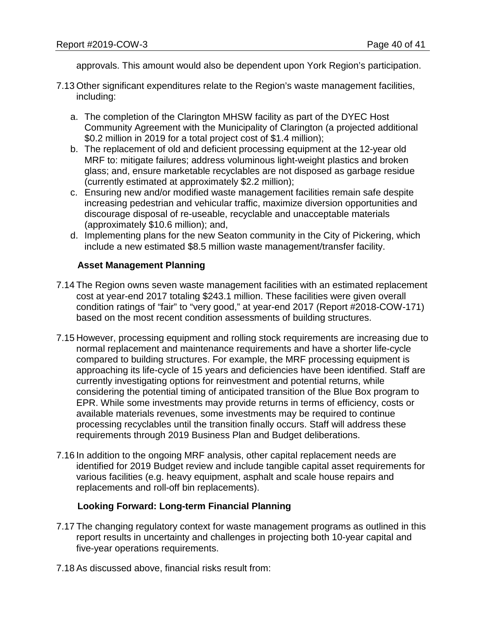approvals. This amount would also be dependent upon York Region's participation.

- 7.13 Other significant expenditures relate to the Region's waste management facilities, including:
	- a. The completion of the Clarington MHSW facility as part of the DYEC Host Community Agreement with the Municipality of Clarington (a projected additional \$0.2 million in 2019 for a total project cost of \$1.4 million);
	- b. The replacement of old and deficient processing equipment at the 12-year old MRF to: mitigate failures; address voluminous light-weight plastics and broken glass; and, ensure marketable recyclables are not disposed as garbage residue (currently estimated at approximately \$2.2 million);
	- c. Ensuring new and/or modified waste management facilities remain safe despite increasing pedestrian and vehicular traffic, maximize diversion opportunities and discourage disposal of re-useable, recyclable and unacceptable materials (approximately \$10.6 million); and,
	- d. Implementing plans for the new Seaton community in the City of Pickering, which include a new estimated \$8.5 million waste management/transfer facility.

# **Asset Management Planning**

- 7.14 The Region owns seven waste management facilities with an estimated replacement cost at year-end 2017 totaling \$243.1 million. These facilities were given overall condition ratings of "fair" to "very good," at year-end 2017 (Report #2018-COW-171) based on the most recent condition assessments of building structures.
- 7.15 However, processing equipment and rolling stock requirements are increasing due to normal replacement and maintenance requirements and have a shorter life-cycle compared to building structures. For example, the MRF processing equipment is approaching its life-cycle of 15 years and deficiencies have been identified. Staff are currently investigating options for reinvestment and potential returns, while considering the potential timing of anticipated transition of the Blue Box program to EPR. While some investments may provide returns in terms of efficiency, costs or available materials revenues, some investments may be required to continue processing recyclables until the transition finally occurs. Staff will address these requirements through 2019 Business Plan and Budget deliberations.
- 7.16 In addition to the ongoing MRF analysis, other capital replacement needs are identified for 2019 Budget review and include tangible capital asset requirements for various facilities (e.g. heavy equipment, asphalt and scale house repairs and replacements and roll-off bin replacements).

## **Looking Forward: Long-term Financial Planning**

- 7.17 The changing regulatory context for waste management programs as outlined in this report results in uncertainty and challenges in projecting both 10-year capital and five-year operations requirements.
- 7.18 As discussed above, financial risks result from: